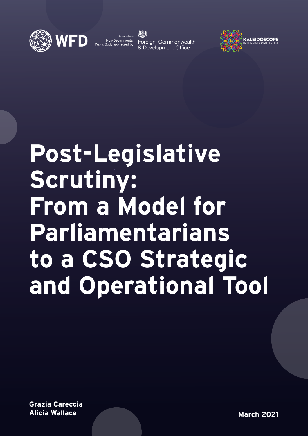

Foreign, Commonwealth



# **Post-Legislative Scrutiny: From a Model for Parliamentarians to a CSO Strategic and Operational Tool**

**Grazia Careccia Alicia Wallace**

**March 2021**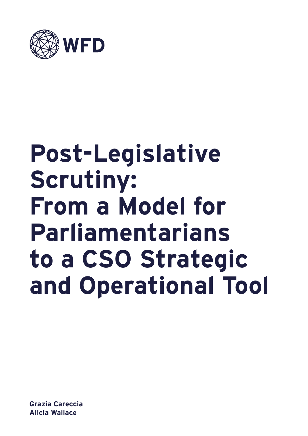

# **Post-Legislative Scrutiny: From a Model for Parliamentarians to a CSO Strategic and Operational Tool**

**Grazia Careccia Alicia Wallace**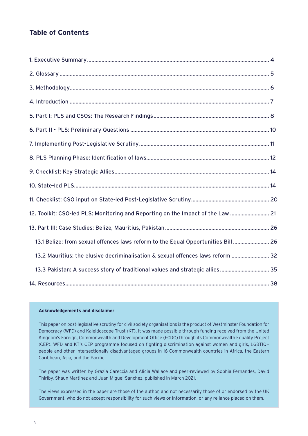## **Table of Contents**

| 12. Toolkit: CSO-led PLS: Monitoring and Reporting on the Impact of the Law  21   |  |
|-----------------------------------------------------------------------------------|--|
|                                                                                   |  |
| 13.1 Belize: from sexual offences laws reform to the Equal Opportunities Bill  26 |  |
| 13.2 Mauritius: the elusive decriminalisation & sexual offences laws reform  32   |  |
| 13.3 Pakistan: A success story of traditional values and strategic allies 35      |  |
|                                                                                   |  |

#### **Acknowledgements and disclaimer**

This paper on post-legislative scrutiny for civil society organisations is the product of Westminster Foundation for Democracy (WFD) and Kaleidoscope Trust (KT). It was made possible through funding received from the United Kingdom's Foreign, Commonwealth and Development Office (FCDO) through its Commonwealth Equality Project (CEP). WFD and KT's CEP programme focused on fighting discrimination against women and girls, LGBTIQ+ people and other intersectionally disadvantaged groups in 16 Commonwealth countries in Africa, the Eastern Caribbean, Asia, and the Pacific.

The paper was written by Grazia Careccia and Alicia Wallace and peer-reviewed by Sophia Fernandes, David Thirlby, Shaun Martinez and Juan Miguel-Sanchez, published in March 2021.

The views expressed in the paper are those of the author, and not necessarily those of or endorsed by the UK Government, who do not accept responsibility for such views or information, or any reliance placed on them.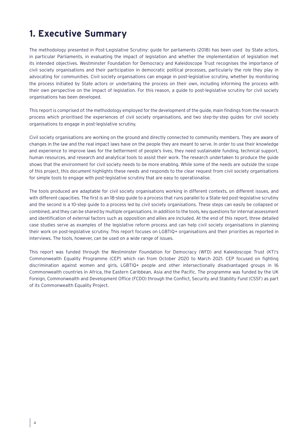# **1. Executive Summary**

The methodology presented in Post-Legislative Scrutiny: guide for parliaments (2018) has been used by State actors, in particular Parliaments, in evaluating the impact of legislation and whether the implementation of legislation met its intended objectives. Westminster Foundation for Democracy and Kaleidoscope Trust recognises the importance of civil society organisations and their participation in democratic political processes, particularly the role they play in advocating for communities. Civil society organisations can engage in post-legislative scrutiny, whether by monitoring the process initiated by State actors or undertaking the process on their own, including informing the process with their own perspective on the impact of legislation. For this reason, a guide to post-legislative scrutiny for civil society organisations has been developed.

This report is comprised of: the methodology employed for the development of the guide, main findings from the research process which prioritised the experiences of civil society organisations, and two step-by-step guides for civil society organisations to engage in post-legislative scrutiny.

Civil society organisations are working on the ground and directly connected to community members. They are aware of changes in the law and the real impact laws have on the people they are meant to serve. In order to use their knowledge and experience to improve laws for the betterment of people's lives, they need sustainable funding, technical support, human resources, and research and analytical tools to assist their work. The research undertaken to produce the guide shows that the environment for civil society needs to be more enabling. While some of the needs are outside the scope of this project, this document highlights these needs and responds to the clear request from civil society organisations for simple tools to engage with post-legislative scrutiny that are easy to operationalise.

The tools produced are adaptable for civil society organisations working in different contexts, on different issues, and with different capacities. The first is an 18-step guide to a process that runs parallel to a State-led post-legislative scrutiny and the second is a 10-step guide to a process led by civil society organisations. These steps can easily be collapsed or combined, and they can be shared by multiple organisations. In addition to the tools, key questions for internal assessment and identification of external factors such as opposition and allies are included. At the end of this report, three detailed case studies serve as examples of the legislative reform process and can help civil society organisations in planning their work on post-legislative scrutiny. This report focuses on LGBTIQ+ organisations and their priorities as reported in interviews. The tools, however, can be used on a wide range of issues.

This report was funded through the Westminster Foundation for Democracy (WFD) and Kaleidoscope Trust (KT)'s Commonwealth Equality Programme (CEP) which ran from October 2020 to March 2021. CEP focused on fighting discrimination against women and girls, LGBTIQ+ people and other intersectionally disadvantaged groups in 16 Commonwealth countries in Africa, the Eastern Caribbean, Asia and the Pacific. The programme was funded by the UK Foreign, Commonwealth and Development Office (FCDO) through the Conflict, Security and Stability Fund (CSSF) as part of its Commonwealth Equality Project.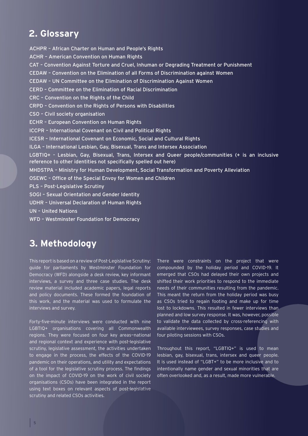## **2. Glossary**

ACHPR – African Charter on Human and People's Rights ACHR – American Convention on Human Rights CAT – Convention Against Torture and Cruel, Inhuman or Degrading Treatment or Punishment CEDAW – Convention on the Elimination of all Forms of Discrimination against Women CEDAW – UN Committee on the Elimination of Discrimination Against Women CERD – Committee on the Elimination of Racial Discrimination CRC – Convention on the Rights of the Child CRPD – Convention on the Rights of Persons with Disabilities CSO – Civil society organisation ECHR – European Convention on Human Rights ICCPR – International Covenant on Civil and Political Rights ICESR – International Covenant on Economic, Social and Cultural Rights ILGA – International Lesbian, Gay, Bisexual, Trans and Intersex Association LGBTIQ+ - Lesbian, Gay, Bisexual, Trans, Intersex and Queer people/communities (+ is an inclusive reference to other identities not specifically spelled out here) MHDSTPA – Ministry for Human Development, Social Transformation and Poverty Alleviation OSEWC – Office of the Special Envoy for Women and Children PLS – Post-Legislative Scrutiny SOGI – Sexual Orientation and Gender Identity UDHR – Universal Declaration of Human Rights UN – United Nations WFD – Westminster Foundation for Democracy

## **3. Methodology**

This report is based on a review of Post-Legislative Scrutiny: guide for parliaments by Westminster Foundation for Democracy (WFD) alongside a desk review, key informant interviews, a survey and three case studies. The desk review material included academic papers, legal reports and policy documents. These formed the foundation of this work, and the material was used to formulate the interviews and survey.

Forty-five-minute interviews were conducted with nine LGBTIQ+ organisations covering all Commonwealth regions. They were focused on four key areas—national and regional context and experience with post-legislative scrutiny, legislative assessment, the activities undertaken to engage in the process, the effects of the COVID-19 pandemic on their operations, and utility and expectations of a tool for the legislative scrutiny process. The findings on the impact of COVID-19 on the work of civil society organisations (CSOs) have been integrated in the report using text boxes on relevant aspects of post-legislative scrutiny and related CSOs activities.

There were constraints on the project that were compounded by the holiday period and COVID-19. It emerged that CSOs had delayed their own projects and shifted their work priorities to respond to the immediate needs of their communities resulting from the pandemic. This meant the return from the holiday period was busy as CSOs tried to regain footing and make up for time lost to lockdowns. This resulted in fewer interviews than planned and low survey response. It was, however, possible to validate the data collected by cross-referencing with available interviewees, survey responses, case studies and four piloting sessions with CSOs.

Throughout this report, "LGBTIQ+" is used to mean lesbian, gay, bisexual, trans, intersex and queer people. It is used instead of "LGBT+" to be more inclusive and to intentionally name gender and sexual minorities that are often overlooked and, as a result, made more vulnerable.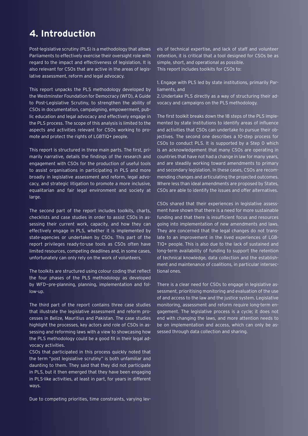# **4. Introduction**

Post-legislative scrutiny (PLS) is a methodology that allows Parliaments to effectively exercise their oversight role with regard to the impact and effectiveness of legislation. It is also relevant for CSOs that are active in the areas of legislative assessment, reform and legal advocacy.

This report unpacks the PLS methodology developed by the Westminster Foundation for Democracy (WFD), A Guide to Post-Legislative Scrutiny, to strengthen the ability of CSOs in documentation, campaigning, empowerment, public education and legal advocacy and effectively engage in the PLS process. The scope of this analysis is limited to the aspects and activities relevant for CSOs working to promote and protect the rights of LGBTIQ+ people.

This report is structured in three main parts. The first, primarily narrative, details the findings of the research and engagement with CSOs for the production of useful tools to assist organisations in participating in PLS and more broadly in legislative assessment and reform, legal advocacy, and strategic litigation to promote a more inclusive, equalitarian and fair legal environment and society at large.

The second part of the report includes toolkits, charts, checklists and case studies in order to assist CSOs in assessing their current work, capacity, and how they can effectively engage in PLS, whether it is implemented by state-agencies or undertaken by CSOs. This part of the report privileges ready-to-use tools as CSOs often have limited resources, competing deadlines and, in some cases, unfortunately can only rely on the work of volunteers.

The toolkits are structured using colour coding that reflect the four phases of the PLS methodology as developed by WFD—pre-planning, planning, implementation and follow-up.

The third part of the report contains three case studies that illustrate the legislative assessment and reform processes in Belize, Mauritius and Pakistan. The case studies highlight the processes, key actors and role of CSOs in assessing and reforming laws with a view to showcasing how the PLS methodology could be a good fit in their legal advocacy activities.

CSOs that participated in this process quickly noted that the term "post legislative scrutiny" is both unfamiliar and daunting to them. They said that they did not participate in PLS, but it then emerged that they have been engaging in PLS-like activities, at least in part, for years in different ways.

Due to competing priorities, time constraints, varying lev-

els of technical expertise, and lack of staff and volunteer retention, it is critical that a tool designed for CSOs be as simple, short, and operational as possible. This report includes toolkits for CSOs to:

1. Engage with PLS led by state institutions, primarily Parliaments, and

2.Undertake PLS directly as a way of structuring their advocacy and campaigns on the PLS methodology.

The first toolkit breaks down the 18 steps of the PLS implemented by state institutions to identify areas of influence and activities that CSOs can undertake to pursue their objectives. The second one describes a 10-step process for CSOs to conduct PLS. It is supported by a Step 0 which is an acknowledgement that many CSOs are operating in countries that have not had a change in law for many years, and are steadily working toward amendments to primary and secondary legislation. In these cases, CSOs are recommending changes and articulating the projected outcomes. Where less than ideal amendments are proposed by States, CSOs are able to identify the issues and offer alternatives.

CSOs shared that their experiences in legislative assessment have shown that there is a need for more sustainable funding and that there is insufficient focus and resources going into implementation of new amendments and laws. They are concerned that the legal changes do not translate to an improvement in the lived experiences of LGB-TIQ+ people. This is also due to the lack of sustained and long-term availability of funding to support the retention of technical knowledge, data collection and the establishment and maintenance of coalitions, in particular intersectional ones.

There is a clear need for CSOs to engage in legislative assessment, prioritising monitoring and evaluation of the use of and access to the law and the justice system. Legislative monitoring, assessment and reform require long-term engagement. The legislative process is a cycle; it does not end with changing the laws, and more attention needs to be on implementation and access, which can only be assessed through data collection and sharing.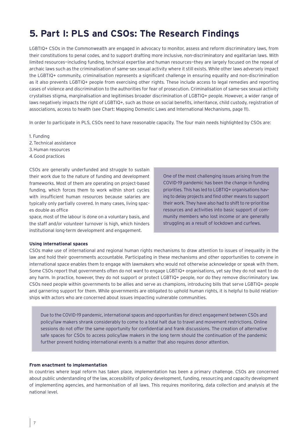# **5. Part I: PLS and CSOs: The Research Findings**

LGBTIQ+ CSOs in the Commonwealth are engaged in advocacy to monitor, assess and reform discriminatory laws, from their constitutions to penal codes, and to support drafting more inclusive, non-discriminatory and egalitarian laws. With limited resources—including funding, technical expertise and human resources—they are largely focused on the repeal of archaic laws such as the criminalisation of same-sex sexual activity where it still exists. While other laws adversely impact the LGBTIQ+ community, criminalisation represents a significant challenge in ensuring equality and non-discrimination as it also prevents LGBTIQ+ people from exercising other rights. These include access to legal remedies and reporting cases of violence and discrimination to the authorities for fear of prosecution. Criminalisation of same-sex sexual activity crystalises stigma, marginalisation and legitimises broader discrimination of LGBTIQ+ people. However, a wider range of laws negatively impacts the right of LGBTIQ+, such as those on social benefits, inheritance, child custody, registration of associations, access to health (see Chart: Mapping Domestic Laws and International Mechanisms, page 11).

In order to participate in PLS, CSOs need to have reasonable capacity. The four main needs highlighted by CSOs are:

1. Funding 2.Technical assistance 3.Human resources 4.Good practices

CSOs are generally underfunded and struggle to sustain their work due to the nature of funding and development frameworks. Most of them are operating on project-based funding, which forces them to work within short cycles with insufficient human resources because salaries are typically only partially covered. In many cases, living spaces double as office

space, most of the labour is done on a voluntary basis, and the staff and/or volunteer turnover is high, which hinders institutional long-term development and engagement.

One of the most challenging issues arising from the COVID-19 pandemic has been the change in funding priorities. This has led to LGBTIQ+ organisations having to delay projects and find other means to support their work. They have also had to shift to re-prioritise resources and activities into basic support of community members who lost income or are generally struggling as a result of lockdown and curfews.

#### **Using international spaces**

CSOs make use of international and regional human rights mechanisms to draw attention to issues of inequality in the law and hold their governments accountable. Participating in these mechanisms and other opportunities to convene in international space enables them to engage with lawmakers who would not otherwise acknowledge or speak with them. Some CSOs report that governments often do not want to engage LGBTIQ+ organisations, yet say they do not want to do any harm. In practice, however, they do not support or protect LGBTIQ+ people, nor do they remove discriminatory law. CSOs need people within governments to be allies and serve as champions, introducing bills that serve LGBTIQ+ people and garnering support for them. While governments are obligated to uphold human rights, it is helpful to build relationships with actors who are concerned about issues impacting vulnerable communities.

Due to the COVID-19 pandemic, international spaces and opportunities for direct engagement between CSOs and policy/law makers shrank considerably to come to a total halt due to travel and movement restrictions. Online sessions do not offer the same opportunity for confidential and frank discussions. The creation of alternative safe spaces for CSOs to access policy/law makers in the long term should the continuation of the pandemic further prevent holding international events is a matter that also requires donor attention.

#### **From enactment to implementation**

In countries where legal reform has taken place, implementation has been a primary challenge. CSOs are concerned about public understanding of the law, accessibility of policy development, funding, resourcing and capacity development of implementing agencies, and harmonisation of all laws. This requires monitoring, data collection and analysis at the national level.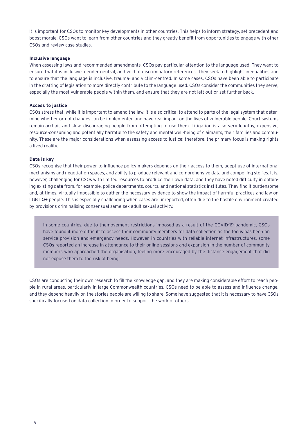It is important for CSOs to monitor key developments in other countries. This helps to inform strategy, set precedent and boost morale. CSOs want to learn from other countries and they greatly benefit from opportunities to engage with other CSOs and review case studies.

#### **Inclusive language**

When assessing laws and recommended amendments, CSOs pay particular attention to the language used. They want to ensure that it is inclusive, gender neutral, and void of discriminatory references. They seek to highlight inequalities and to ensure that the language is inclusive, trauma- and victim-centred. In some cases, CSOs have been able to participate in the drafting of legislation to more directly contribute to the language used. CSOs consider the communities they serve, especially the most vulnerable people within them, and ensure that they are not left out or set further back.

#### **Access to justice**

CSOs stress that, while it is important to amend the law, it is also critical to attend to parts of the legal system that determine whether or not changes can be implemented and have real impact on the lives of vulnerable people. Court systems remain archaic and slow, discouraging people from attempting to use them. Litigation is also very lengthy, expensive, resource-consuming and potentially harmful to the safety and mental well-being of claimants, their families and community. These are the major considerations when assessing access to justice; therefore, the primary focus is making rights a lived reality.

#### **Data is key**

CSOs recognise that their power to influence policy makers depends on their access to them, adept use of international mechanisms and negotiation spaces, and ability to produce relevant and comprehensive data and compelling stories. It is, however, challenging for CSOs with limited resources to produce their own data, and they have noted difficulty in obtaining existing data from, for example, police departments, courts, and national statistics institutes. They find it burdensome and, at times, virtually impossible to gather the necessary evidence to show the impact of harmful practices and law on LGBTIQ+ people. This is especially challenging when cases are unreported, often due to the hostile environment created by provisions criminalising consensual same-sex adult sexual activity.

In some countries, due to themovement restrictions imposed as a result of the COVID-19 pandemic, CSOs have found it more difficult to access their community members for data collection as the focus has been on service provision and emergency needs. However, in countries with reliable internet infrastructures, some CSOs reported an increase in attendance to their online sessions and expansion in the number of community members who approached the organisation, feeling more encouraged by the distance engagement that did not expose them to the risk of being

CSOs are conducting their own research to fill the knowledge gap, and they are making considerable effort to reach people in rural areas, particularly in large Commonwealth countries. CSOs need to be able to assess and influence change, and they depend heavily on the stories people are willing to share. Some have suggested that it is necessary to have CSOs specifically focused on data collection in order to support the work of others.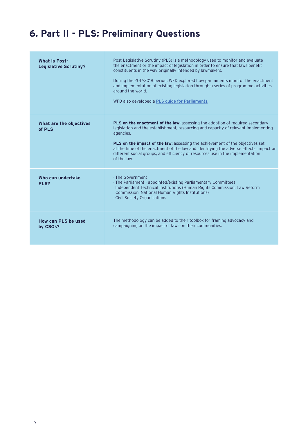# **6. Part II - PLS: Preliminary Questions**

| <b>What is Post-</b><br><b>Legislative Scrutiny?</b> | Post-Legislative Scrutiny (PLS) is a methodology used to monitor and evaluate<br>the enactment or the impact of legislation in order to ensure that laws benefit<br>constituents in the way originally intended by lawmakers.<br>During the 2017-2018 period, WFD explored how parliaments monitor the enactment<br>and implementation of existing legislation through a series of programme activities<br>around the world.<br>WFD also developed a PLS quide for Parliaments. |
|------------------------------------------------------|---------------------------------------------------------------------------------------------------------------------------------------------------------------------------------------------------------------------------------------------------------------------------------------------------------------------------------------------------------------------------------------------------------------------------------------------------------------------------------|
| What are the objectives<br>of PLS                    | PLS on the enactment of the law: assessing the adoption of required secondary<br>legislation and the establishment, resourcing and capacity of relevant implementing<br>agencies.<br><b>PLS on the impact of the law:</b> assessing the achievement of the objectives set<br>at the time of the enactment of the law and identifying the adverse effects, impact on<br>different social groups, and efficiency of resources use in the implementation<br>of the law.            |
| Who can undertake<br>PLS?                            | · The Government<br>· The Parliament - appointed/existing Parliamentary Committees<br>- Independent Technical Institutions (Human Rights Commission, Law Reform<br>Commission, National Human Rights Institutions)<br>Civil Society Organisations                                                                                                                                                                                                                               |
| How can PLS be used<br>by CSO <sub>s</sub> ?         | The methodology can be added to their toolbox for framing advocacy and<br>campaigning on the impact of laws on their communities.                                                                                                                                                                                                                                                                                                                                               |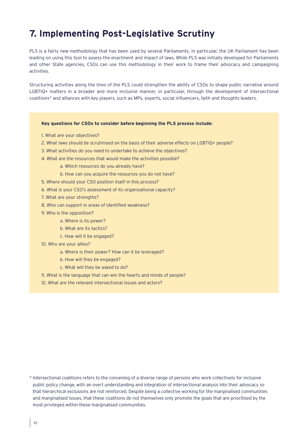# **7. Implementing Post-Legislative Scrutiny**

PLS is a fairly new methodology that has been used by several Parliaments. In particular, the UK Parliament has been leading on using this tool to assess the enactment and impact of laws. While PLS was initially developed for Parliaments and other State agencies, CSOs can use this methodology in their work to frame their advocacy and campaigning activities.

Structuring activities along the lines of the PLS could strengthen the ability of CSOs to shape public narrative around LGBTIQ+ matters in a broader and more inclusive manner, in particular, through the development of intersectional coalitions\* and alliances with key players, such as MPs, experts, social influencers, faith and thoughts leaders.

#### **Key questions for CSOs to consider before beginning the PLS process include:**

- 1. What are your objectives?
- 2. What laws should be scrutinised on the basis of their adverse effects on LGBTIQ+ people?
- 3. What activities do you need to undertake to achieve the objectives?
- 4. What are the resources that would make the activities possible?
	- a. Which resources do you already have?
	- b. How can you acquire the resources you do not have?
- 5. Where should your CSO position itself in this process?
- 6. What is your CSO's assessment of its organisational capacity?
- 7. What are your strengths?
- 8. Who can support in areas of identified weakness?
- 9. Who is the opposition?
	- a. Where is its power?
	- b. What are its tactics?
	- c. How will it be engaged?
- 10. Who are your allies?
	- a. Where is their power? How can it be leveraged?
	- b. How will they be engaged?
	- c. What will they be asked to do?
- 11. What is the language that can win the hearts and minds of people?
- 12. What are the relevant intersectional issues and actors?

<sup>\*</sup> Intersectional coalitions refers to the convening of a diverse range of persons who work collectively for inclusive public policy change, with an overt understanding and integration of intersectional analysis into their advocacy so that hierarchical exclusions are not reinforced. Despite being a collective working for the marginalised communities and marginalised issues, that these coalitions do not themselves only promote the goals that are prioritised by the most privileged within these marginalised communities.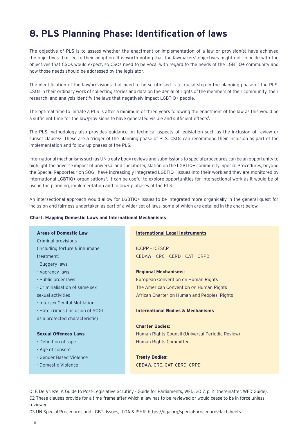# **8. PLS Planning Phase: Identification of laws**

The objective of PLS is to assess whether the enactment or implementation of a law or provision(s) have achieved the objectives that led to their adoption. It is worth noting that the lawmakers' objectives might not coincide with the objectives that CSOs would expect, so CSOs need to be vocal with regard to the needs of the LGBTIQ+ community and how those needs should be addressed by the legislator.

The identification of the law/provisions that need to be scrutinised is a crucial step in the planning phase of the PLS. CSOs in their ordinary work of collecting stories and data on the denial of rights of the members of their community, their research, and analysis identify the laws that negatively impact LGBTIQ+ people.

The optimal time to initiate a PLS is after a minimum of three years following the enactment of the law as this would be a sufficient time for the law/provisions to have generated visible and sufficient effects<sup>1</sup>.

The PLS methodology also provides guidance on technical aspects of legislation such as the inclusion of review or sunset clauses<sup>2</sup>. These are a trigger of the planning phase of PLS. CSOs can recommend their inclusion as part of the implementation and follow-up phases of the PLS.

International mechanisms such as UN treaty body reviews and submissions to special procedures can be an opportunity to highlight the adverse impact of universal and specific legislation on the LGBTIQ+ community. Special Procedures, beyond the Special Rapporteur on SOGI, have increasingly integrated LGBTIQ+ issues into their work and they are monitored by international LGBTIQ+ organisations<sup>3</sup>. It can be useful to explore opportunities for intersectional work as it would be of use in the planning, implementation and follow-up phases of the PLS.

An intersectional approach would allow for LGBTIQ+ issues to be integrated more organically in the general quest for inclusion and fairness undertaken as part of a wider set of laws, some of which are detailed in the chart below.

#### **Chart: Mapping Domestic Laws and International Mechanisms**

#### **Areas of Domestic Law**

Criminal provisions (including torture & inhumane treatment)

- Buggery laws
- Vagrancy laws
- Public order laws
- Criminalisation of same sex
- sexual activities
- Intersex Genital Mutilation

```
- Hate crimes (inclusion of SOGI
```
as a protected characteristic)

#### **Sexual Offences Laws**

- Definition of rape
- Age of consent
- Gender Based Violence
- Domestic Violence

#### **International Legal Instruments**

ICCPR – ICESCR CEDAW – CRC – CERD – CAT - CRPD

#### **Regional Mechanisms:**

European Convention on Human Rights The American Convention on Human Rights African Charter on Human and Peoples' Rights

#### **International Bodies & Mechanisms**

#### **Charter Bodies:**

Human Rights Council (Universal Periodic Review) Human Rights Committee

## **Treaty Bodies:** CEDAW, CRC, CAT, CERD, CRPD

01 F. De Vrieze, A Guide to Post-Legislative Scrutiny - Guide for Parliaments, WFD, 2017, p. 21 (hereinafter, WFD Guide). 02 These clauses provide for a time-frame after which a law has to be reviewed or would cease to be in force unless reviewed.

03 UN Special Procedures and LGBTI Issues, ILGA & ISHR, https://ilga.org/special-procedures-factsheets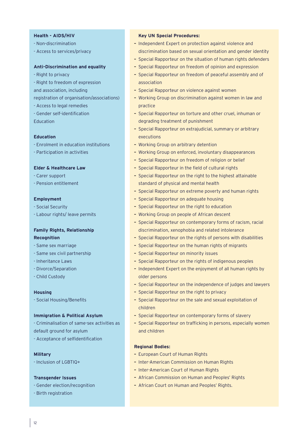#### **Health - AIDS/HIV**

- Non-discrimination
- Access to services/privacy

#### **Anti-Discrimination and equality**

- Right to privacy
- Right to freedom of expression and association, including
- registration of organisation/associations)
- Access to legal remedies
- Gender self-identification **Education**

#### **Education**

- Enrolment in education institutions
- Participation in activities

#### **Elder & Healthcare Law**

- Carer support
- Pension entitlement

#### **Employment**

- Social Security
- Labour rights/ leave permits

## **Family Rights, Relationship Recognition**

- Same sex marriage
- Same sex civil partnership
- Inheritance Laws
- Divorce/Separation
- Child Custody

#### **Housing**

- Social Housing/Benefits

#### **Immigration & Political Asylum**

- Criminalisation of same-sex activities as default ground for asylum
- 
- Acceptance of selfidentification

#### **Military**

- Inclusion of LGBTIQ+

#### **Transgender Issues**

- Gender election/recognition
- Birth registration

#### **Key UN Special Procedures:**

- Independent Expert on protection against violence and discrimination based on sexual orientation and gender identity
- Special Rapporteur on the situation of human rights defenders
- Special Rapporteur on freedom of opinion and expression
- Special Rapporteur on freedom of peaceful assembly and of association
- Special Rapporteur on violence against women
- Working Group on discrimination against women in law and practice
- Special Rapporteur on torture and other cruel, inhuman or degrading treatment of punishment
- Special Rapporteur on extrajudicial, summary or arbitrary executions
- Working Group on arbitrary detention
- Working Group on enforced, involuntary disappearances
- Special Rapporteur on freedom of religion or belief
- Special Rapporteur in the field of cultural rights
- Special Rapporteur on the right to the highest attainable standard of physical and mental health
- Special Rapporteur on extreme poverty and human rights
- Special Rapporteur on adequate housing
- Special Rapporteur on the right to education
- Working Group on people of African descent
- Special Rapporteur on contemporary forms of racism, racial discrimination, xenophobia and related intolerance
- Special Rapporteur on the rights of persons with disabilities
- Special Rapporteur on the human rights of migrants
- Special Rapporteur on minority issues
- Special Rapporteur on the rights of indigenous peoples
- Independent Expert on the enjoyment of all human rights by older persons
- Special Rapporteur on the independence of judges and lawyers
- Special Rapporteur on the right to privacy
- Special Rapporteur on the sale and sexual exploitation of children
- Special Rapporteur on contemporary forms of slavery
- Special Rapporteur on trafficking in persons, especially women and children

#### **Regional Bodies:**

- European Court of Human Rights
- Inter-American Commission on Human Rights
- Inter-American Court of Human Rights
- African Commission on Human and Peoples' Rights
- African Court on Human and Peoples' Rights.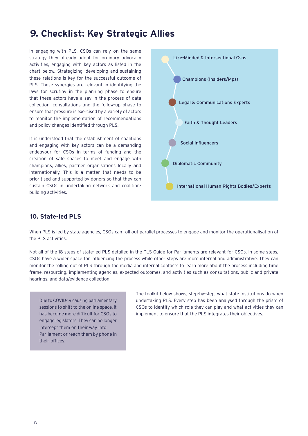## **9. Checklist: Key Strategic Allies**

In engaging with PLS, CSOs can rely on the same strategy they already adopt for ordinary advocacy activities, engaging with key actors as listed in the chart below. Strategizing, developing and sustaining these relations is key for the successful outcome of PLS. These synergies are relevant in identifying the laws for scrutiny in the planning phase to ensure that these actors have a say in the process of data collection, consultations and the follow-up phase to ensure that pressure is exercised by a variety of actors to monitor the implementation of recommendations and policy changes identified through PLS.

It is understood that the establishment of coalitions and engaging with key actors can be a demanding endeavour for CSOs in terms of funding and the creation of safe spaces to meet and engage with champions, allies, partner organisations locally and internationally. This is a matter that needs to be prioritised and supported by donors so that they can sustain CSOs in undertaking network and coalitionbuilding activities.



## **10. State-led PLS**

When PLS is led by state agencies, CSOs can roll out parallel processes to engage and monitor the operationalisation of the PLS activities.

Not all of the 18 steps of state-led PLS detailed in the PLS Guide for Parliaments are relevant for CSOs. In some steps, CSOs have a wider space for influencing the process while other steps are more internal and administrative. They can monitor the rolling out of PLS through the media and internal contacts to learn more about the process including time frame, resourcing, implementing agencies, expected outcomes, and activities such as consultations, public and private hearings, and data/evidence collection.

Due to COVID-19 causing parliamentary sessions to shift to the online space, it has become more difficult for CSOs to engage legislators. They can no longer intercept them on their way into Parliament or reach them by phone in their offices.

The toolkit below shows, step-by-step, what state institutions do when undertaking PLS. Every step has been analysed through the prism of CSOs to identify which role they can play and what activities they can implement to ensure that the PLS integrates their objectives.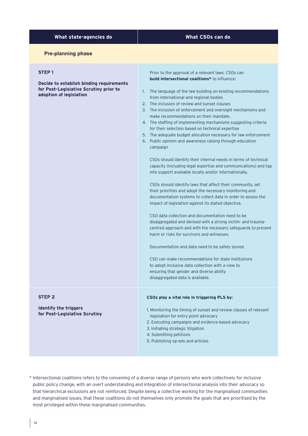## **What state-agencies do What CSOs can do**

#### **Pre-planning phase**

#### **STEP 1**

**Decide to establish binding requirements for Post-Legislative Scrutiny prior to adoption of legislation**

Prior to the approval of a relevant laws, CSOs can **build intersectional coalitions\*** to influence:

- 1. The language of the law building on existing recommendations from international and regional bodies
- 2. The inclusion of review and sunset clauses
- 3. The inclusion of enforcement and oversight mechanisms and make recommendations on their mandate.
- 4. The staffing of implementing mechanisms suggesting criteria for their selection based on technical expertise
- 5. The adequate budget allocation necessary for law enforcement
- 6. Public opinion and awareness raising through education campaign

CSOs should identify their internal needs in terms of technical capacity (including legal expertise and communications) and tap into support available locally and/or internationally.

CSOs should identify laws that affect their community, set their priorities and adopt the necessary monitoring and documentation systems to collect data in order to assess the impact of legislation against its stated objective.

CSO data collection and documentation need to be disaggregated and devised with a strong victim- and traumacentred approach and with the necessary safeguards to prevent harm or risks for survivors and witnesses.

Documentation and data need to be safely stored.

CSO can make recommendations for state institutions to adopt inclusive data collection with a view to ensuring that gender and diverse ability disaggregated data is available.

#### **CSOs play a vital role in triggering PLS by:**

1. Monitoring the timing of sunset and review clauses of relevant legislation for entry point advocacy

- 2. Executing campaigns and evidence-based advocacy
- 3. Initiating strategic litigation
- 4. Submitting petitions
- 5. Publishing op-eds and articles

\* Intersectional coalitions refers to the convening of a diverse range of persons who work collectively for inclusive public policy change, with an overt understanding and integration of intersectional analysis into their advocacy so that hierarchical exclusions are not reinforced. Despite being a collective working for the marginalised communities and marginalised issues, that these coalitions do not themselves only promote the goals that are prioritised by the most privileged within these marginalised communities.

#### **STEP 2**

**Identify the triggers for Post-Legislative Scrutiny**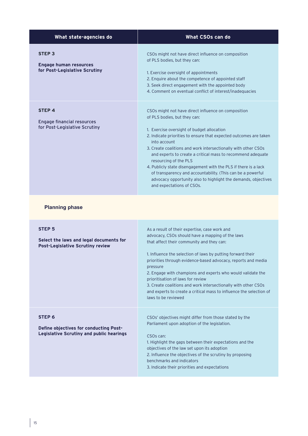| What state-agencies do                                                             | What CSOs can do                                                                                                                                                                                                                                                                                                                                                                                                                                                                                                                                                                                                  |
|------------------------------------------------------------------------------------|-------------------------------------------------------------------------------------------------------------------------------------------------------------------------------------------------------------------------------------------------------------------------------------------------------------------------------------------------------------------------------------------------------------------------------------------------------------------------------------------------------------------------------------------------------------------------------------------------------------------|
| <b>STEP 3</b><br><b>Engage human resources</b><br>for Post-Legislative Scrutiny    | CSOs might not have direct influence on composition<br>of PLS bodies, but they can:<br>1. Exercise oversight of appointments<br>2. Enquire about the competence of appointed staff<br>3. Seek direct engagement with the appointed body<br>4. Comment on eventual conflict of interest/inadequacies                                                                                                                                                                                                                                                                                                               |
| <b>STEP4</b><br><b>Engage financial resources</b><br>for Post-Legislative Scrutiny | CSOs might not have direct influence on composition<br>of PLS bodies, but they can:<br>1. Exercise oversight of budget allocation<br>2. Indicate priorities to ensure that expected outcomes are taken<br>into account<br>3. Create coalitions and work intersectionally with other CSOs<br>and experts to create a critical mass to recommend adequate<br>resourcing of the PLS<br>4. Publicly state disengagement with the PLS if there is a lack<br>of transparency and accountability. (This can be a powerful<br>advocacy opportunity also to highlight the demands, objectives<br>and expectations of CSOs. |

## **Planning phase**

| <b>STEP 5</b><br>Select the laws and legal documents for<br><b>Post-Legislative Scrutiny review</b>            | As a result of their expertise, case work and<br>advocacy, CSOs should have a mapping of the laws<br>that affect their community and they can:<br>1. Influence the selection of laws by putting forward their<br>priorities through evidence-based advocacy, reports and media<br>pressure<br>2. Engage with champions and experts who would validate the<br>prioritisation of laws for review<br>3. Create coalitions and work intersectionally with other CSOs<br>and experts to create a critical mass to influence the selection of<br>laws to be reviewed |
|----------------------------------------------------------------------------------------------------------------|----------------------------------------------------------------------------------------------------------------------------------------------------------------------------------------------------------------------------------------------------------------------------------------------------------------------------------------------------------------------------------------------------------------------------------------------------------------------------------------------------------------------------------------------------------------|
| STEP <sub>6</sub><br>Define objectives for conducting Post-<br><b>Legislative Scrutiny and public hearings</b> | CSOs' objectives might differ from those stated by the<br>Parliament upon adoption of the legislation.<br>CSO <sub>s</sub> can:<br>1. Highlight the gaps between their expectations and the<br>objectives of the law set upon its adoption<br>2. Influence the objectives of the scrutiny by proposing<br>benchmarks and indicators<br>3. Indicate their priorities and expectations                                                                                                                                                                           |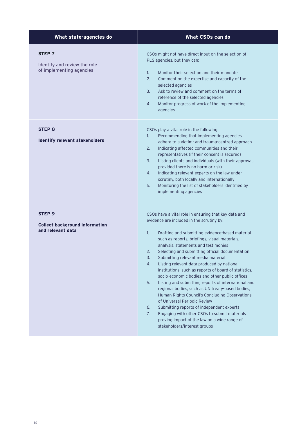| What state-agencies do                                                          | What CSOs can do                                                                                                                                                                                                                                                                                                                                                                                                                                                                                                                                                                                                                                                                                                                                                                                                                                                                                                    |
|---------------------------------------------------------------------------------|---------------------------------------------------------------------------------------------------------------------------------------------------------------------------------------------------------------------------------------------------------------------------------------------------------------------------------------------------------------------------------------------------------------------------------------------------------------------------------------------------------------------------------------------------------------------------------------------------------------------------------------------------------------------------------------------------------------------------------------------------------------------------------------------------------------------------------------------------------------------------------------------------------------------|
| STEP <sub>7</sub><br>Identify and review the role<br>of implementing agencies   | CSOs might not have direct input on the selection of<br>PLS agencies, but they can:<br>Monitor their selection and their mandate<br>1.<br>2.<br>Comment on the expertise and capacity of the<br>selected agencies<br>3.<br>Ask to review and comment on the terms of<br>reference of the selected agencies<br>4.<br>Monitor progress of work of the implementing<br>agencies                                                                                                                                                                                                                                                                                                                                                                                                                                                                                                                                        |
| <b>STEP 8</b><br>Identify relevant stakeholders                                 | CSOs play a vital role in the following:<br>Recommending that implementing agencies<br>1.<br>adhere to a victim- and trauma-centred approach<br>2.<br>Indicating affected communities and their<br>representatives (if their consent is secured)<br>3.<br>Listing clients and individuals (with their approval,<br>provided there is no harm or risk)<br>4.<br>Indicating relevant experts on the law under<br>scrutiny, both locally and internationally<br>5.<br>Monitoring the list of stakeholders identified by<br>implementing agencies                                                                                                                                                                                                                                                                                                                                                                       |
| STEP <sub>9</sub><br><b>Collect background information</b><br>and relevant data | CSOs have a vital role in ensuring that key data and<br>evidence are included in the scrutiny by:<br>1.<br>Drafting and submitting evidence-based material<br>such as reports, briefings, visual materials,<br>analysis, statements and testimonies<br>Selecting and submitting official documentation<br>2.<br>3.<br>Submitting relevant media material<br>Listing relevant data produced by national<br>4.<br>institutions, such as reports of board of statistics,<br>socio-economic bodies and other public offices<br>5.<br>Listing and submitting reports of international and<br>regional bodies, such as UN treaty-based bodies,<br>Human Rights Council's Concluding Observations<br>of Universal Periodic Review<br>Submitting reports of independent experts<br>6.<br>Engaging with other CSOs to submit materials<br>7.<br>proving impact of the law on a wide range of<br>stakeholders/interest groups |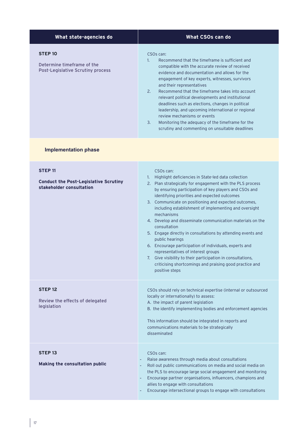| What state-agencies do                                                                     | What CSOs can do                                                                                                                                                                                                                                                                                                                                                                                                                                                                                                                                                                                                                       |
|--------------------------------------------------------------------------------------------|----------------------------------------------------------------------------------------------------------------------------------------------------------------------------------------------------------------------------------------------------------------------------------------------------------------------------------------------------------------------------------------------------------------------------------------------------------------------------------------------------------------------------------------------------------------------------------------------------------------------------------------|
| <b>STEP10</b><br>Determine timeframe of the<br><b>Post-Legislative Scrutiny process</b>    | CSO <sub>s</sub> can:<br>1.<br>Recommend that the timeframe is sufficient and<br>compatible with the accurate review of received<br>evidence and documentation and allows for the<br>engagement of key experts, witnesses, survivors<br>and their representatives<br>Recommend that the timeframe takes into account<br>2.<br>relevant political developments and institutional<br>deadlines such as elections, changes in political<br>leadership, and upcoming international or regional<br>review mechanisms or events<br>3.<br>Monitoring the adequacy of the timeframe for the<br>scrutiny and commenting on unsuitable deadlines |
| <b>Implementation phase</b>                                                                |                                                                                                                                                                                                                                                                                                                                                                                                                                                                                                                                                                                                                                        |
| <b>STEP 11</b><br><b>Conduct the Post-Legislative Scrutiny</b><br>stakeholder consultation | CSO <sub>s</sub> can:<br>Highlight deficiencies in State-led data collection<br>1.<br>2. Plan strategically for engagement with the PLS process<br>by ensuring participation of key players and CSOs and<br>identifying priorities and expected outcomes<br>3. Communicate on positioning and expected outcomes,<br>including establishment of implementing and oversight<br>mechanisms<br>4. Develop and disseminate communication materials on the<br>consultation                                                                                                                                                                   |

#### 5. Engage directly in consultations by attending events and public hearings

- 6. Encourage participation of individuals, experts and representatives of interest groups
- 7. Give visibility to their participation in consultations, criticising shortcomings and praising good practice and positive steps

**STEP 12** Review the effects of delegated legislation CSOs should rely on technical expertise (internal or outsourced locally or internationally) to assess: A. the impact of parent legislation B. the identify implementing bodies and enforcement agencies This information should be integrated in reports and communications materials to be strategically disseminated **STEP 13 Making the consultation public** CSOs can: Raise awareness through media about consultations Roll out public communications on media and social media on the PLS to encourage large social engagement and monitoring - Encourage partner organisations, influencers, champions and allies to engage with consultations

- Encourage intersectional groups to engage with consultations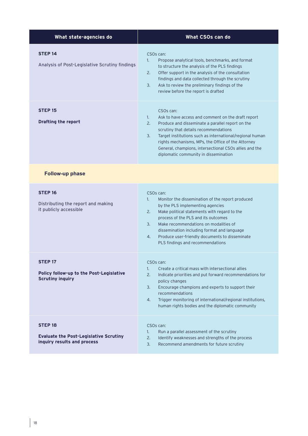| What state-agencies do                                                                         | What CSOs can do                                                                                                                                                                                                                                                                                                                                                                                                       |
|------------------------------------------------------------------------------------------------|------------------------------------------------------------------------------------------------------------------------------------------------------------------------------------------------------------------------------------------------------------------------------------------------------------------------------------------------------------------------------------------------------------------------|
| <b>STEP 14</b><br>Analysis of Post-Legislative Scrutiny findings                               | CSO <sub>s</sub> can:<br>Propose analytical tools, benchmarks, and format<br>$\mathbf{1}$ .<br>to structure the analysis of the PLS findings<br>Offer support in the analysis of the consultation<br>2.<br>findings and data collected through the scrutiny<br>Ask to review the preliminary findings of the<br>3.<br>review before the report is drafted                                                              |
| <b>STEP 15</b><br><b>Drafting the report</b>                                                   | CSO <sub>s</sub> can:<br>Ask to have access and comment on the draft report<br>1.<br>2.<br>Produce and disseminate a parallel report on the<br>scrutiny that details recommendations<br>Target institutions such as international/regional human<br>3.<br>rights mechanisms, MPs, the Office of the Attorney<br>General, champions, intersectional CSOs allies and the<br>diplomatic community in dissemination        |
| <b>Follow-up phase</b>                                                                         |                                                                                                                                                                                                                                                                                                                                                                                                                        |
| STEP <sub>16</sub><br>Distributing the report and making<br>it publicly accessible             | CSO <sub>s</sub> can:<br>Monitor the dissemination of the report produced<br>1 <sup>1</sup><br>by the PLS implementing agencies<br>2.<br>Make political statements with regard to the<br>process of the PLS and its outcomes<br>3.<br>Make recommendations on modalities of<br>dissemination including format and language<br>Produce user-friendly documents to disseminate<br>4.<br>PLS findings and recommendations |
| STEP <sub>17</sub><br>Policy follow-up to the Post-Legislative<br><b>Scrutiny inquiry</b>      | CSO <sub>s</sub> can:<br>Create a critical mass with intersectional allies<br>1.<br>2.<br>Indicate priorities and put forward recommendations for<br>policy changes<br>Encourage champions and experts to support their<br>3.<br>recommendations<br>Trigger monitoring of international/regional institutions,<br>4.<br>human rights bodies and the diplomatic community                                               |
| <b>STEP 18</b><br><b>Evaluate the Post-Legislative Scrutiny</b><br>inquiry results and process | CSO <sub>s</sub> can:<br>Run a parallel assessment of the scrutiny<br>1.<br>Identify weaknesses and strengths of the process<br>2.<br>3.<br>Recommend amendments for future scrutiny                                                                                                                                                                                                                                   |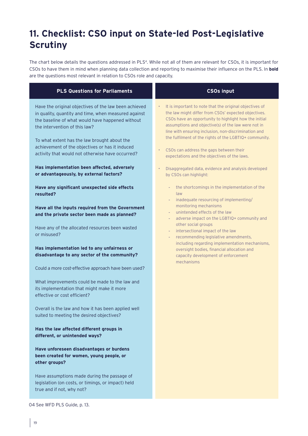# **11. Checklist: CSO input on State-led Post-Legislative Scrutiny**

The chart below details the questions addressed in PLS4. While not all of them are relevant for CSOs, it is important for CSOs to have them in mind when planning data collection and reporting to maximise their influence on the PLS. In **bold** are the questions most relevant in relation to CSOs role and capacity.

| <b>PLS Questions for Parliaments</b>                                                                                                                                                                                                                                                                                                                      | <b>CSOs input</b>                                                                                                                                                                                                                                                                                                                                                                                                                                                      |
|-----------------------------------------------------------------------------------------------------------------------------------------------------------------------------------------------------------------------------------------------------------------------------------------------------------------------------------------------------------|------------------------------------------------------------------------------------------------------------------------------------------------------------------------------------------------------------------------------------------------------------------------------------------------------------------------------------------------------------------------------------------------------------------------------------------------------------------------|
| Have the original objectives of the law been achieved<br>in quality, quantity and time, when measured against<br>the baseline of what would have happened without<br>the intervention of this law?<br>To what extent has the law brought about the<br>achievement of the objectives or has it induced<br>activity that would not otherwise have occurred? | It is important to note that the original objectives of<br>$\bullet$<br>the law might differ from CSOs' expected objectives.<br>CSOs have an opportunity to highlight how the initial<br>assumptions and objective(s) of the law were not in<br>line with ensuring inclusion, non-discrimination and<br>the fulfilment of the rights of the LGBTIQ+ community.<br>CSOs can address the gaps between their<br>$\bullet$<br>expectations and the objectives of the laws. |
| Has implementation been affected, adversely<br>or advantageously, by external factors?                                                                                                                                                                                                                                                                    | Disaggregated data, evidence and analysis developed<br>by CSOs can highlight:                                                                                                                                                                                                                                                                                                                                                                                          |
| Have any significant unexpected side effects<br>resulted?                                                                                                                                                                                                                                                                                                 | the shortcomings in the implementation of the<br>÷<br>law<br>inadequate resourcing of implementing/<br>$\overline{\phantom{a}}$                                                                                                                                                                                                                                                                                                                                        |
| Have all the inputs required from the Government                                                                                                                                                                                                                                                                                                          | monitoring mechanisms                                                                                                                                                                                                                                                                                                                                                                                                                                                  |
| and the private sector been made as planned?                                                                                                                                                                                                                                                                                                              | unintended effects of the law<br>$\overline{\phantom{a}}$<br>adverse impact on the LGBTIQ+ community and<br>$\overline{\phantom{a}}$                                                                                                                                                                                                                                                                                                                                   |
| Have any of the allocated resources been wasted<br>or misused?                                                                                                                                                                                                                                                                                            | other social groups<br>intersectional impact of the law<br>÷.<br>recommending legislative amendments,<br>$\overline{\phantom{a}}$                                                                                                                                                                                                                                                                                                                                      |
| Has implementation led to any unfairness or<br>disadvantage to any sector of the community?                                                                                                                                                                                                                                                               | including regarding implementation mechanisms,<br>oversight bodies, financial allocation and<br>capacity development of enforcement<br>mechanisms                                                                                                                                                                                                                                                                                                                      |
| Could a more cost-effective approach have been used?                                                                                                                                                                                                                                                                                                      |                                                                                                                                                                                                                                                                                                                                                                                                                                                                        |
| What improvements could be made to the law and<br>its implementation that might make it more<br>effective or cost efficient?                                                                                                                                                                                                                              |                                                                                                                                                                                                                                                                                                                                                                                                                                                                        |
| Overall is the law and how it has been applied well<br>suited to meeting the desired objectives?                                                                                                                                                                                                                                                          |                                                                                                                                                                                                                                                                                                                                                                                                                                                                        |
| Has the law affected different groups in<br>different, or unintended ways?                                                                                                                                                                                                                                                                                |                                                                                                                                                                                                                                                                                                                                                                                                                                                                        |
| Have unforeseen disadvantages or burdens<br>been created for women, young people, or<br>other groups?                                                                                                                                                                                                                                                     |                                                                                                                                                                                                                                                                                                                                                                                                                                                                        |
| Have assumptions made during the passage of<br>legislation (on costs, or timings, or impact) held<br>true and if not, why not?                                                                                                                                                                                                                            |                                                                                                                                                                                                                                                                                                                                                                                                                                                                        |

04 See WFD PLS Guide, p. 13.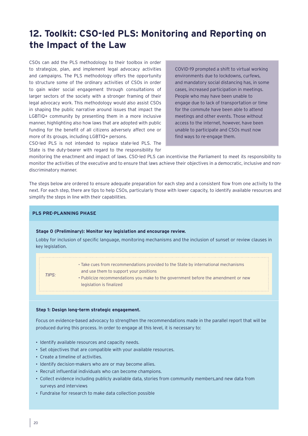# **12. Toolkit: CSO-led PLS: Monitoring and Reporting on the Impact of the Law**

CSOs can add the PLS methodology to their toolbox in order to strategize, plan, and implement legal advocacy activities and campaigns. The PLS methodology offers the opportunity to structure some of the ordinary activities of CSOs in order to gain wider social engagement through consultations of larger sectors of the society with a stronger framing of their legal advocacy work. This methodology would also assist CSOs in shaping the public narrative around issues that impact the LGBTIQ+ community by presenting them in a more inclusive manner, highlighting also how laws that are adopted with public funding for the benefit of all citizens adversely affect one or more of its groups, including LGBTIQ+ persons.

CSO-led PLS is not intended to replace state-led PLS. The State is the duty-bearer with regard to the responsibility for

COVID-19 prompted a shift to virtual working environments due to lockdowns, curfews, and mandatory social distancing has, in some cases, increased participation in meetings. People who may have been unable to engage due to lack of transportation or time for the commute have been able to attend meetings and other events. Those without access to the internet, however, have been unable to participate and CSOs must now find ways to re-engage them.

monitoring the enactment and impact of laws. CSO-led PLS can incentivise the Parliament to meet its responsibility to monitor the activities of the executive and to ensure that laws achieve their objectives in a democratic, inclusive and nondiscriminatory manner.

The steps below are ordered to ensure adequate preparation for each step and a consistent flow from one activity to the next. For each step, there are tips to help CSOs, particularly those with lower capacity, to identify available resources and simplify the steps in line with their capabilities.

#### **PLS PRE-PLANNING PHASE**

#### **Stage 0 (Preliminary): Monitor key legislation and encourage review.**

Lobby for inclusion of specific language, monitoring mechanisms and the inclusion of sunset or review clauses in key legislation.

#### **Step 1: Design long-term strategic engagement.**

Focus on evidence-based advocacy to strengthen the recommendations made in the parallel report that will be produced during this process. In order to engage at this level, it is necessary to:

- **•** Identify available resources and capacity needs.
- **•** Set objectives that are compatible with your available resources.
- **•** Create a timeline of activities.
- **•** Identify decision-makers who are or may become allies.
- **•** Recruit influential individuals who can become champions.
- **•** Collect evidence including publicly available data, stories from community members,and new data from surveys and interviews
- **•** Fundraise for research to make data collection possible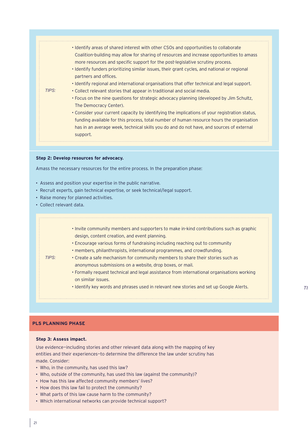| . Identify areas of shared interest with other CSOs and opportunities to collaborate<br>Coalition-building may allow for sharing of resources and increase opportunities to amass<br>more resources and specific support for the post-legislative scrutiny process.<br>• Identify funders prioritizing similar issues, their grant cycles, and national or regional<br>partners and offices.<br>. Identify regional and international organisations that offer technical and legal support.<br>TIPS:<br>• Collect relevant stories that appear in traditional and social media.<br>• Focus on the nine questions for strategic advocacy planning (developed by Jim Schultz,<br>The Democracy Center).<br>• Consider your current capacity by identifying the implications of your registration status,<br>funding available for this process, total number of human resource hours the organisation<br>has in an average week, technical skills you do and do not have, and sources of external<br>support. |
|-------------------------------------------------------------------------------------------------------------------------------------------------------------------------------------------------------------------------------------------------------------------------------------------------------------------------------------------------------------------------------------------------------------------------------------------------------------------------------------------------------------------------------------------------------------------------------------------------------------------------------------------------------------------------------------------------------------------------------------------------------------------------------------------------------------------------------------------------------------------------------------------------------------------------------------------------------------------------------------------------------------|
|-------------------------------------------------------------------------------------------------------------------------------------------------------------------------------------------------------------------------------------------------------------------------------------------------------------------------------------------------------------------------------------------------------------------------------------------------------------------------------------------------------------------------------------------------------------------------------------------------------------------------------------------------------------------------------------------------------------------------------------------------------------------------------------------------------------------------------------------------------------------------------------------------------------------------------------------------------------------------------------------------------------|

#### **Step 2: Develop resources for advocacy.**

Amass the necessary resources for the entire process. In the preparation phase:

- **•** Assess and position your expertise in the public narrative.
- **•** Recruit experts, gain technical expertise, or seek technical/legal support.
- **•** Raise money for planned activities.
- **•** Collect relevant data.

|--|

#### **PLS PLANNING PHASE**

#### **Step 3: Assess impact.**

Use evidence—including stories and other relevant data along with the mapping of key entities and their experiences—to determine the difference the law under scrutiny has made. Consider:

- **•** Who, in the community, has used this law?
- **•** Who, outside of the community, has used this law (against the community)?
- **•** How has this law affected community members' lives?
- **•** How does this law fail to protect the community?
- **•** What parts of this law cause harm to the community?
- **•** Which international networks can provide technical support?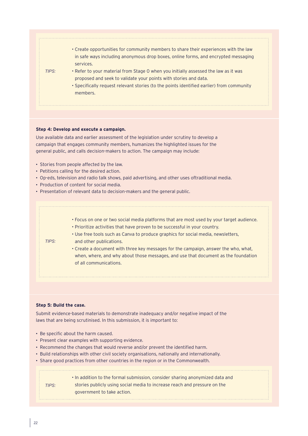

#### **Step 4: Develop and execute a campaign.**

Use available data and earlier assessment of the legislation under scrutiny to develop a campaign that engages community members, humanizes the highlighted issues for the general public, and calls decision-makers to action. The campaign may include:

- **•** Stories from people affected by the law.
- **•** Petitions calling for the desired action.
- **•** Op-eds, television and radio talk shows, paid advertising, and other uses oftraditional media.
- **•** Production of content for social media.
- **•** Presentation of relevant data to decision-makers and the general public.

|       | • Focus on one or two social media platforms that are most used by your target audience. |
|-------|------------------------------------------------------------------------------------------|
|       | • Prioritize activities that have proven to be successful in your country.               |
|       | . Use free tools such as Canva to produce graphics for social media, newsletters,        |
| TIPS: | and other publications.                                                                  |
|       | • Create a document with three key messages for the campaign, answer the who, what,      |
|       | when, where, and why about those messages, and use that document as the foundation       |
|       | of all communications.                                                                   |
|       |                                                                                          |

#### **Step 5: Build the case.**

Submit evidence-based materials to demonstrate inadequacy and/or negative impact of the laws that are being scrutinised. In this submission, it is important to:

- **•** Be specific about the harm caused.
- **•** Present clear examples with supporting evidence.
- **•** Recommend the changes that would reverse and/or prevent the identified harm.
- **•** Build relationships with other civil society organisations, nationally and internationally.
- **•** Share good practices from other countries in the region or in the Commonwealth.

|       | . In addition to the formal submission, consider sharing anonymized data and |
|-------|------------------------------------------------------------------------------|
| TIPS: | stories publicly using social media to increase reach and pressure on the    |
|       | government to take action.                                                   |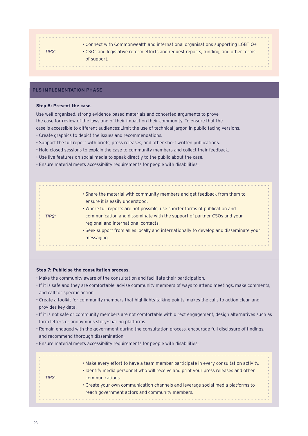## *TIPS:* • Connect with Commonwealth and international organisations supporting LGBTIQ+ • CSOs and legislative reform efforts and request reports, funding, and other forms of support.

## **PLS IMPLEMENTATION PHASE**

#### **Step 6: Present the case.**

Use well-organised, strong evidence-based materials and concerted arguments to prove the case for review of the laws and of their impact on their community. To ensure that the case is accessible to different audiences:Limit the use of technical jargon in public-facing versions.

- Create graphics to depict the issues and recommendations.
- Support the full report with briefs, press releases, and other short written publications.
- Hold closed sessions to explain the case to community members and collect their feedback.
- Use live features on social media to speak directly to the public about the case.
- Ensure material meets accessibility requirements for people with disabilities.

|       | • Share the material with community members and get feedback from them to<br>ensure it is easily understood. |
|-------|--------------------------------------------------------------------------------------------------------------|
|       | . Where full reports are not possible, use shorter forms of publication and                                  |
| TIPS: | communication and disseminate with the support of partner CSOs and your                                      |
|       | regional and international contacts.                                                                         |
|       | • Seek support from allies locally and internationally to develop and disseminate your                       |
|       | messaging.                                                                                                   |
|       |                                                                                                              |

#### **Step 7: Publicise the consultation process.**

- Make the community aware of the consultation and facilitate their participation.
- If it is safe and they are comfortable, advise community members of ways to attend meetings, make comments, and call for specific action.
- Create a toolkit for community members that highlights talking points, makes the calls to action clear, and provides key data.
- If it is not safe or community members are not comfortable with direct engagement, design alternatives such as form letters or anonymous story-sharing platforms.
- Remain engaged with the government during the consultation process, encourage full disclosure of findings, and recommend thorough dissemination.
- Ensure material meets accessibility requirements for people with disabilities.

|       | • Make every effort to have a team member participate in every consultation activity. |
|-------|---------------------------------------------------------------------------------------|
|       | . Identify media personnel who will receive and print your press releases and other   |
| TIPS: | communications.                                                                       |
|       | • Create your own communication channels and leverage social media platforms to       |
|       | reach government actors and community members.                                        |
|       |                                                                                       |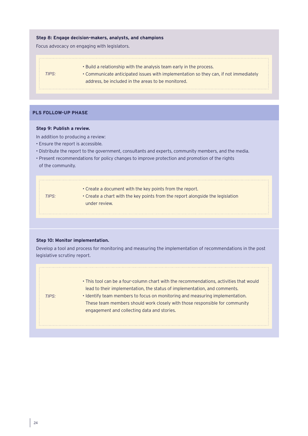#### **Step 8: Engage decision-makers, analysts, and champions**

Focus advocacy on engaging with legislators.

- Build a relationship with the analysis team early in the process.
- Communicate anticipated issues with implementation so they can, if not immediately address, be included in the areas to be monitored.

. . . . . . .

## **PLS FOLLOW-UP PHASE**

*TIPS:*

#### **Step 9: Publish a review.**

In addition to producing a review:

- Ensure the report is accessible.
- Distribute the report to the government, consultants and experts, community members, and the media.
- Present recommendations for policy changes to improve protection and promotion of the rights

|  | of the community. |
|--|-------------------|
|--|-------------------|

| TIPS: | • Create a document with the key points from the report.<br>• Create a chart with the key points from the report alongside the legislation<br>under review. |
|-------|-------------------------------------------------------------------------------------------------------------------------------------------------------------|
|       |                                                                                                                                                             |

#### **Step 10: Monitor implementation.**

Develop a tool and process for monitoring and measuring the implementation of recommendations in the post legislative scrutiny report.

| TIPS: | • This tool can be a four-column chart with the recommendations, activities that would<br>lead to their implementation, the status of implementation, and comments.<br>. Identify team members to focus on monitoring and measuring implementation.<br>These team members should work closely with those responsible for community<br>engagement and collecting data and stories. |
|-------|-----------------------------------------------------------------------------------------------------------------------------------------------------------------------------------------------------------------------------------------------------------------------------------------------------------------------------------------------------------------------------------|
|       |                                                                                                                                                                                                                                                                                                                                                                                   |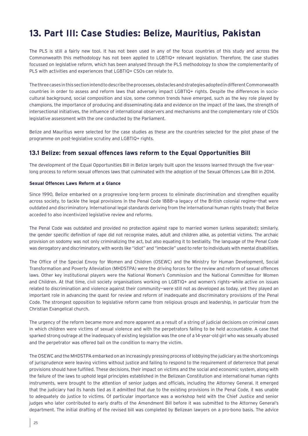# **13. Part III: Case Studies: Belize, Mauritius, Pakistan**

The PLS is still a fairly new tool. It has not been used in any of the focus countries of this study and across the Commonwealth this methodology has not been applied to LGBTIQ+ relevant legislation. Therefore, the case studies focussed on legislative reform, which has been analysed through the PLS methodology to show the complementarity of PLS with activities and experiences that LGBTIQ+ CSOs can relate to.

The three cases in this section intend to describe the processes, obstacles and strategies adopted in different Commonwealth countries in order to assess and reform laws that adversely impact LGBTIQ+ rights. Despite the differences in sociocultural background, social composition and size, some common trends have emerged, such as the key role played by champions, the importance of producing and disseminating data and evidence on the impact of the laws, the strength of intersectional initiatives, the influence of international observers and mechanisms and the complementary role of CSOs legislative assessment with the one conducted by the Parliament.

Belize and Mauritius were selected for the case studies as these are the countries selected for the pilot phase of the programme on post-legislative scrutiny and LGBTIQ+ rights.

## **13.1 Belize: from sexual offences laws reform to the Equal Opportunities Bill**

The development of the Equal Opportunities Bill in Belize largely built upon the lessons learned through the five-yearlong process to reform sexual offences laws that culminated with the adoption of the Sexual Offences Law Bill in 2014.

#### **Sexual Offences Laws Reform at a Glance**

Since 1990, Belize embarked on a progressive long-term process to eliminate discrimination and strengthen equality across society, to tackle the legal provisions in the Penal Code 1888—a legacy of the British colonial regime—that were outdated and discriminatory. International legal standards deriving from the international human rights treaty that Belize acceded to also incentivized legislative review and reforms.

The Penal Code was outdated and provided no protection against rape to married women (unless separated); similarly, the gender specific definition of rape did not recognise males, adult and children alike, as potential victims. The archaic provision on sodomy was not only criminalizing the act, but also equating it to bestiality. The language of the Penal Code was derogatory and discriminatory, with words like "idiot" and "imbecile" used to refer to individuals with mental disabilities.

The Office of the Special Envoy for Women and Children (OSEWC) and the Ministry for Human Development, Social Transformation and Poverty Alleviation (MHDSTPA) were the driving forces for the review and reform of sexual offences laws. Other key institutional players were the National Women's Commission and the National Committee for Women and Children. At that time, civil society organisations working on LGBTIQ+ and women's rights—while active on issues related to discrimination and violence against their community—were still not as developed as today, yet they played an important role in advancing the quest for review and reform of inadequate and discriminatory provisions of the Penal Code. The strongest opposition to legislative reform came from religious groups and leadership, in particular from the Christian Evangelical church.

The urgency of the reform became more and more apparent as a result of a string of judicial decisions on criminal cases in which children were victims of sexual violence and with the perpetrators failing to be held accountable. A case that sparked strong outrage at the inadequacy of existing legislation was the one of a 14-year-old girl who was sexually abused and the perpetrator was offered bail on the condition to marry the victim.

The OSEWC and the MHDSTPA embarked on an increasingly pressing process of lobbying the judiciary as the shortcomings of jurisprudence were leaving victims without justice and failing to respond to the requirement of deterrence that penal provisions should have fulfilled. These decisions, their impact on victims and the social and economic system, along with the failure of the laws to uphold legal principles established in the Belizean Constitution and international human rights instruments, were brought to the attention of senior judges and officials, including the Attorney General. It emerged that the judiciary had its hands tied as it admitted that due to the existing provisions in the Penal Code, it was unable to adequately do justice to victims. Of particular importance was a workshop held with the Chief Justice and senior judges who later contributed to early drafts of the Amendment Bill before it was submitted to the Attorney General's department. The initial drafting of the revised bill was completed by Belizean lawyers on a pro-bono basis. The advice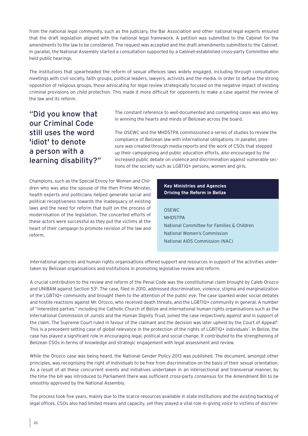from the national legal community, such as the judiciary, the Bar Association and other national legal experts ensured that the draft legislation aligned with the national legal framework. A petition was submitted to the Cabinet for the amendments to the law to be considered. The request was accepted and the draft amendments submitted to the Cabinet. In parallel, the National Assembly started a consultation supported by a Cabinet-established cross-party Committee who held public hearings.

The institutions that spearheaded the reform of sexual offences laws widely engaged, including through consultation meetings with civil society, faith groups, political leaders, lawyers, activists and the media. In order to defuse the strong opposition of religious groups, those advocating for legal review strategically focused on the negative impact of existing criminal provisions on child protection. This made it more difficult for opponents to make a case against the review of the law and its reform.

"Did you know that our Criminal Code still uses the word 'idiot' to denote a person with a learning disability?" The constant reference to well-documented and compelling cases was also key in winning the hearts and minds of Belizean across the board.

The OSEWC and the MHDSTPA commissioned a series of studies to review the compliance of Belizean law with international obligations. In parallel, pressure was created through media reports and the work of CSOs that stepped up their campaigning and public education efforts, also encouraged by the increased public debate on violence and discrimination against vulnerable sections of the society such as LGBTIQ+ persons, women and girls.

Champions, such as the Special Envoy for Women and Children who was also the spouse of the then Prime Minister, health experts and politicians helped generate social and political receptiveness towards the inadequacy of existing laws and the need for reform that built on the process of modernisation of the legislation. The concerted efforts of these actors were successful as they put the victims at the heart of their campaign to promote revision of the law and reform.

#### **Key Ministries and Agencies Driving the Reform in Belize**

**OSEWC** MHDSTPA National Committee for Families & Children National Women's Commission National AIDS Commission (NAC)

International agencies and human rights organisations offered support and resources in support of the activities undertaken by Belizean organisations and institutions in promoting legislative review and reform.

A crucial contribution to the review and reform of the Penal Code was the constitutional claim brought by Caleb Orozco and UNIBAM against Section 53<sup>5</sup>. The case, filed in 2010, addressed discrimination, violence, stigma and marginalization of the LGBTIQ+ community and brought them to the attention of the public eye. The case sparked wider social debates and hostile reactions against Mr. Orozco, who received death threats, and the LGBTIQ+ community in general. A number of "interested parties," including the Catholic Church of Belize and international human rights organisations such as the International Commission of Jurists and the Human Dignity Trust, joined the case respectively against and in support of the claim. The Supreme Court ruled in favour of the claimant and the decision was later upheld by the Court of Appeal<sup>6</sup>. This is a precedent-setting case of global relevance in the protection of the rights of LGBTIQ+ individuals7. In Belize, the case has played a significant role in encouraging legal, political and social change. It contributed to the strengthening of Belizean CSOs in terms of knowledge and strategic engagement with legal assessment and review.

While the Orozco case was being heard, the National Gender Policy 2013 was published. The document, amongst other principles, was recognising the right of individuals to be free from discrimination on the basis of their sexual orientation. As a result of all these concurrent events and initiatives undertaken in an intersectional and transversal manner, by the time the bill was introduced to Parliament there was sufficient cross-party consensus for the Amendment Bill to be smoothly approved by the National Assembly.

The process took five years, mainly due to the scarce resources available in state institutions and the existing backlog of legal offices. CSOs also had limited means and capacity, yet they played a vital role in giving voice to victims of discrimi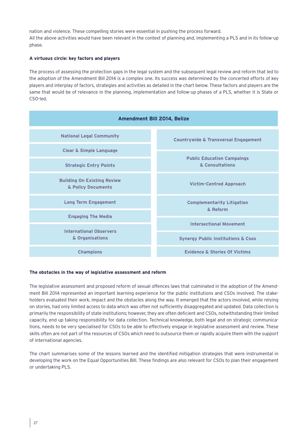nation and violence. These compelling stories were essential in pushing the process forward. All the above activities would have been relevant in the context of planning and, implementing a PLS and in its follow-up phase.

#### **A virtuous circle: key factors and players**

The process of assessing the protection gaps in the legal system and the subsequent legal review and reform that led to the adoption of the Amendment Bill 2014 is a complex one. Its success was determined by the concerted efforts of key players and interplay of factors, strategies and activities as detailed in the chart below. These factors and players are the same that would be of relevance in the planning, implementation and follow-up phases of a PLS, whether it is State or CSO-led.



#### **The obstacles in the way of legislative assessment and reform**

The legislative assessment and proposed reform of sexual offences laws that culminated in the adoption of the Amendment Bill 2014 represented an important learning experience for the public institutions and CSOs involved. The stakeholders evaluated their work, impact and the obstacles along the way. It emerged that the actors involved, while relying on stories, had only limited access to data which was often not sufficiently disaggregated and updated. Data collection is primarily the responsibility of state institutions; however, they are often deficient and CSOs, notwithstanding their limited capacity, end up taking responsibility for data collection. Technical knowledge, both legal and on strategic communications, needs to be very specialised for CSOs to be able to effectively engage in legislative assessment and review. These skills often are not part of the resources of CSOs which need to outsource them or rapidly acquire them with the support of international agencies.

The chart summarises some of the lessons learned and the identified mitigation strategies that were instrumental in developing the work on the Equal Opportunities Bill. These findings are also relevant for CSOs to plan their engagement or undertaking PLS.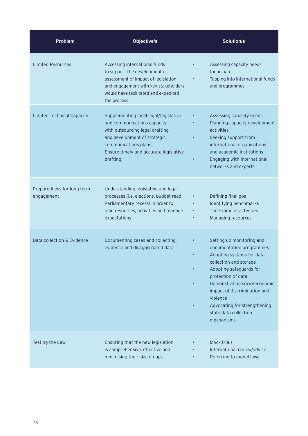| <b>Problem</b>                           | <b>Objective/s</b>                                                                                                                                                                                                     | <b>Solution/s</b>                                                                                                                                                                                                                                                                                                |
|------------------------------------------|------------------------------------------------------------------------------------------------------------------------------------------------------------------------------------------------------------------------|------------------------------------------------------------------------------------------------------------------------------------------------------------------------------------------------------------------------------------------------------------------------------------------------------------------|
| <b>Limited Resources</b>                 | Accessing international funds<br>to support the development of<br>assessment of impact of legislation<br>and engagement with key stakeholders<br>would have facilitated and expedited<br>the process                   | Assessing capacity needs<br>(financial)<br>Tapping into international funds<br>and programmes                                                                                                                                                                                                                    |
| <b>Limited Technical Capacity</b>        | Supplementing local legal/legislative<br>and communications capacity<br>with outsourcing legal drafting<br>and development of strategic<br>communications plans<br>Ensure timely and accurate legislative<br>drafting. | Assessing capacity needs<br>Planning capacity development<br>activities<br>Seeking support from<br>international organisations<br>and academic institutions<br>Engaging with international<br>٠<br>networks and experts                                                                                          |
| Preparedness for long term<br>engagement | Understanding legislative and legal<br>processes (i.e. elections, budget read,<br>Parliamentary recess) in order to<br>plan resources, activities and manage<br>expectations                                           | Defining final goal<br>$\bullet$<br>Identifying benchmarks<br>Timeframe of activities<br>Managing resources<br>$\bullet$                                                                                                                                                                                         |
| Data collection & Evidence               | Documenting cases and collecting,<br>evidence and disaggregated data                                                                                                                                                   | Setting up monitoring and<br>documentation programmes<br>Adopting systems for data<br>collection and storage<br>Adopting safeguards for<br>protection of data<br>Demonstrating socio-economic<br>impact of discrimination and<br>violence<br>Advocating for strengthening<br>state data collection<br>mechanisms |
| Testing the Law                          | Ensuring that the new legislation<br>is comprehensive, effective and<br>minimising the risks of gaps                                                                                                                   | <b>Mock trials</b><br>International review/advice<br>Referring to model laws                                                                                                                                                                                                                                     |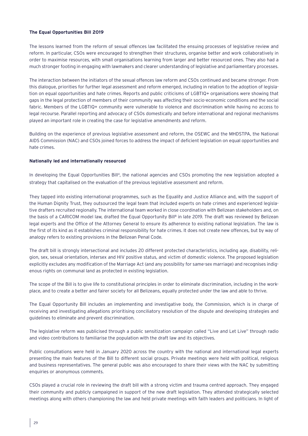#### **The Equal Opportunities Bill 2019**

The lessons learned from the reform of sexual offences law facilitated the ensuing processes of legislative review and reform. In particular, CSOs were encouraged to strengthen their structures, organise better and work collaboratively in order to maximise resources, with small organisations learning from larger and better resourced ones. They also had a much stronger footing in engaging with lawmakers and clearer understanding of legislative and parliamentary processes.

The interaction between the initiators of the sexual offences law reform and CSOs continued and became stronger. From this dialogue, priorities for further legal assessment and reform emerged, including in relation to the adoption of legislation on equal opportunities and hate crimes. Reports and public criticisms of LGBTIQ+ organisations were showing that gaps in the legal protection of members of their community was affecting their socio-economic conditions and the social fabric. Members of the LGBTIQ+ community were vulnerable to violence and discrimination while having no access to legal recourse. Parallel reporting and advocacy of CSOs domestically and before international and regional mechanisms played an important role in creating the case for legislative amendments and reform.

Building on the experience of previous legislative assessment and reform, the OSEWC and the MHDSTPA, the National AIDS Commission (NAC) and CSOs joined forces to address the impact of deficient legislation on equal opportunities and hate crimes.

#### **Nationally led and internationally resourced**

In developing the Equal Opportunities Bill<sup>4</sup>, the national agencies and CSOs promoting the new legislation adopted a strategy that capitalised on the evaluation of the previous legislative assessment and reform.

They tapped into existing international programmes, such as the Equality and Justice Alliance and, with the support of the Human Dignity Trust, they outsourced the legal team that included experts on hate crimes and experienced legislative drafters recruited regionally. The international team worked in close coordination with Belizean stakeholders and, on the basis of a CARICOM model law, drafted the Equal Opportunity Bill<sup>8</sup> in late 2019. The draft was reviewed by Belizean legal experts and the Office of the Attorney General to ensure its adherence to existing national legislation. The law is the first of its kind as it establishes criminal responsibility for hate crimes. It does not create new offences, but by way of analogy refers to existing provisions in the Belizean Penal Code.

The draft bill is strongly intersectional and includes 20 different protected characteristics, including age, disability, religion, sex, sexual orientation, intersex and HIV positive status, and victim of domestic violence. The proposed legislation explicitly excludes any modification of the Marriage Act (and any possibility for same-sex marriage) and recognises indigenous rights on communal land as protected in existing legislation.

The scope of the Bill is to give life to constitutional principles in order to eliminate discrimination, including in the workplace, and to create a better and fairer society for all Belizeans, equally protected under the law and able to thrive.

The Equal Opportunity Bill includes an implementing and investigative body, the Commission, which is in charge of receiving and investigating allegations prioritising conciliatory resolution of the dispute and developing strategies and guidelines to eliminate and prevent discrimination.

The legislative reform was publicised through a public sensitization campaign called "Live and Let Live" through radio and video contributions to familiarise the population with the draft law and its objectives.

Public consultations were held in January 2020 across the country with the national and international legal experts presenting the main features of the Bill to different social groups. Private meetings were held with political, religious and business representatives. The general public was also encouraged to share their views with the NAC by submitting enquiries or anonymous comments.

CSOs played a crucial role in reviewing the draft bill with a strong victim and trauma centred approach. They engaged their community and publicly campaigned in support of the new draft legislation. They attended strategically selected meetings along with others championing the law and held private meetings with faith leaders and politicians. In light of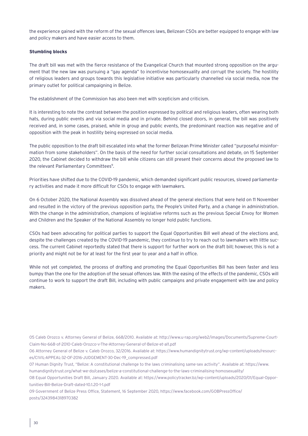the experience gained with the reform of the sexual offences laws, Belizean CSOs are better equipped to engage with law and policy makers and have easier access to them.

#### **Stumbling blocks**

The draft bill was met with the fierce resistance of the Evangelical Church that mounted strong opposition on the argument that the new law was pursuing a "gay agenda" to incentivise homosexuality and corrupt the society. The hostility of religious leaders and groups towards this legislative initiative was particularly channelled via social media, now the primary outlet for political campaigning in Belize.

The establishment of the Commission has also been met with scepticism and criticism.

It is interesting to note the contrast between the position expressed by political and religious leaders, often wearing both hats, during public events and via social media and in private. Behind closed doors, in general, the bill was positively received and, in some cases, praised, while in group and public events, the predominant reaction was negative and of opposition with the peak in hostility being expressed on social media.

The public opposition to the draft bill escalated into what the former Belizean Prime Minister called "purposeful misinformation from some stakeholders". On the basis of the need for further social consultations and debate, on 15 September 2020, the Cabinet decided to withdraw the bill while citizens can still present their concerns about the proposed law to the relevant Parliamentary Committees<sup>9</sup>.

Priorities have shifted due to the COVID-19 pandemic, which demanded significant public resources, slowed parliamentary activities and made it more difficult for CSOs to engage with lawmakers.

On 6 October 2020, the National Assembly was dissolved ahead of the general elections that were held on 11 November and resulted in the victory of the previous opposition party, the People's United Party, and a change in administration. With the change in the administration, champions of legislative reforms such as the previous Special Envoy for Women and Children and the Speaker of the National Assembly no longer hold public functions.

CSOs had been advocating for political parties to support the Equal Opportunities Bill well ahead of the elections and, despite the challenges created by the COVID-19 pandemic, they continue to try to reach out to lawmakers with little success. The current Cabinet reportedly stated that there is support for further work on the draft bill; however, this is not a priority and might not be for at least for the first year to year and a half in office.

While not yet completed, the process of drafting and promoting the Equal Opportunities Bill has been faster and less bumpy than the one for the adoption of the sexual offences law. With the easing of the effects of the pandemic, CSOs will continue to work to support the draft Bill, including with public campaigns and private engagement with law and policy makers.

05 Caleb Orozco v. Attorney General of Belize, 668/2010. Available at: http://www.u-rap.org/web2/images/Documents/Supreme-Court-Claim-No-668-of-2010-Caleb-Orozco-v-The-Attorney-General-of-Belize-et-al1.pdf

06 Attorney General of Belize v. Caleb Orozco, 32/2016. Available at: https://www.humandignitytrust.org/wp-content/uploads/resources/CIVIL-APPEAL-32-OF-2016-JUDGEMENT-30-Dec-19\_compressed.pdf

07 Human Dignity Trust, "Belize: A constitutional challenge to the laws criminalising same-sex activity". Available at: https://www. humandignitytrust.org/what-we-do/cases/belize-a-constitutional-challenge-to-the-laws-criminalising-homosexuality/

08 Equal Opportunities Draft Bill, January 2020. Available at: https://www.policytracker.bz/wp-content/uploads/2020/01/Equal-Opportunities-Bill-Belize-Draft-dated-10.1.20-1-1.pdf

09 Government of Belize Press Office, Statement, 16 September 2020, https://www.facebook.com/GOBPressOffice/ posts/3243984318970382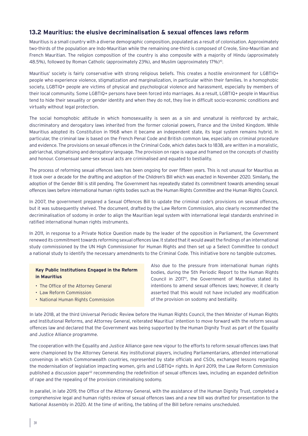## **13.2 Mauritius: the elusive decriminalisation & sexual offences laws reform**

Mauritius is a small country with a diverse demographic composition, populated as a result of colonisation. Approximately two-thirds of the population are Indo-Mauritian while the remaining one-third is composed of Creole, Sino-Mauritian and French Mauritian. The religion composition of the country is also composite with a majority of Hindu (approximately 48.5%), followed by Roman Catholic (approximately 23%), and Muslim (approximately 17%)<sup>10</sup>.

Mauritius' society is fairly conservative with strong religious beliefs. This creates a hostile environment for LGBTIQ+ people who experience violence, stigmatization and marginalization, in particular within their families. In a homophobic society, LGBTIQ+ people are victims of physical and psychological violence and harassment, especially by members of their local community. Some LGBTIQ+ persons have been forced into marriages. As a result, LGBTIQ+ people in Mauritius tend to hide their sexuality or gender identity and when they do not, they live in difficult socio-economic conditions and virtually without legal protection.

The social homophobic attitude in which homosexuality is seen as a sin and unnatural is reinforced by archaic, discriminatory and derogatory laws inherited from the former colonial powers, France and the United Kingdom. While Mauritius adopted its Constitution in 1968 when it became an independent state, its legal system remains hybrid. In particular, the criminal law is based on the French Penal Code and British common law, especially on criminal procedure and evidence. The provisions on sexual offences in the Criminal Code, which dates back to 1838, are written in a moralistic, patriarchal, stigmatising and derogatory language. The provision on rape is vague and framed on the concepts of chastity and honour. Consensual same-sex sexual acts are criminalised and equated to bestiality.

The process of reforming sexual offences laws has been ongoing for over fifteen years. This is not unusual for Mauritius as it took over a decade for the drafting and adoption of the Children's Bill which was enacted in November 2020. Similarly, the adoption of the Gender Bill is still pending. The Government has repeatedly stated its commitment towards amending sexual offences laws before international human rights bodies such as the Human Rights Committee and the Human Rights Council.

In 2007, the government prepared a Sexual Offences Bill to update the criminal code's provisions on sexual offences, but it was subsequently shelved. The document, drafted by the Law Reform Commission, also clearly recommended the decriminalisation of sodomy in order to align the Mauritian legal system with international legal standards enshrined in ratified international human rights instruments.

In 2011, in response to a Private Notice Question made by the leader of the opposition in Parliament, the Government renewed its commitment towards reforming sexual offences law. It stated that it would await the findings of an international study commissioned by the UN High Commissioner for Human Rights and then set up a Select Committee to conduct a national study to identify the necessary amendments to the Criminal Code. This initiative bore no tangible outcomes.

#### **Key Public Institutions Engaged in the Reform in Mauritius**

- The Office of the Attorney General
- Law Reform Commission
- National Human Rights Commission

Also due to the pressure from international human rights bodies, during the 5th Periodic Report to the Human Rights Council in 2017<sup>1</sup>, the Government of Mauritius stated its intentions to amend sexual offences laws; however, it clearly asserted that this would not have included any modification of the provision on sodomy and bestiality.

In late 2018, at the third Universal Periodic Review before the Human Rights Council, the then Minister of Human Rights and Institutional Reforms, and Attorney General, reiterated Mauritius' intention to move forward with the reform sexual offences law and declared that the Government was being supported by the Human Dignity Trust as part of the Equality and Justice Alliance programme.

The cooperation with the Equality and Justice Alliance gave new vigour to the efforts to reform sexual offences laws that were championed by the Attorney General. Key institutional players, including Parliamentarians, attended international convenings in which Commonwealth countries, represented by state officials and CSOs, exchanged lessons regarding the modernisation of legislation impacting women, girls and LGBTIQ+ rights. In April 2019, the Law Reform Commission published a discussion paper12 recommending the redefinition of sexual offences laws, including an expanded definition of rape and the repealing of the provision criminalising sodomy.

In parallel, in late 2019, the Office of the Attorney General, with the assistance of the Human Dignity Trust, completed a comprehensive legal and human rights review of sexual offences laws and a new bill was drafted for presentation to the National Assembly in 2020. At the time of writing, the tabling of the Bill before remains unscheduled.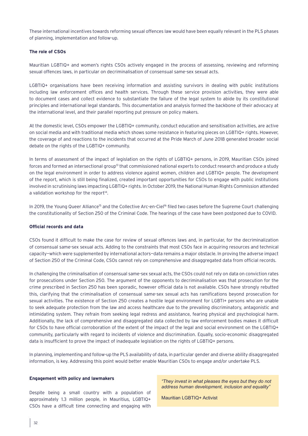These international incentives towards reforming sexual offences law would have been equally relevant in the PLS phases of planning, implementation and follow-up.

#### **The role of CSOs**

Mauritian LGBTIQ+ and women's rights CSOs actively engaged in the process of assessing, reviewing and reforming sexual offences laws, in particular on decriminalisation of consensual same-sex sexual acts.

LGBTIQ+ organisations have been receiving information and assisting survivors in dealing with public institutions including law enforcement offices and health services. Through these service provision activities, they were able to document cases and collect evidence to substantiate the failure of the legal system to abide by its constitutional principles and international legal standards. This documentation and analysis formed the backbone of their advocacy at the international level, and their parallel reporting put pressure on policy makers.

At the domestic level, CSOs empower the LGBTIQ+ community, conduct education and sensitisation activities, are active on social media and with traditional media which shows some resistance in featuring pieces on LGBTIQ+ rights. However, the coverage of and reactions to the incidents that occurred at the Pride March of June 2018 generated broader social debate on the rights of the LGBTIQ+ community.

In terms of assessment of the impact of legislation on the rights of LGBTIQ+ persons, in 2019, Mauritian CSOs joined forces and formed an intersectional group<sup>13</sup> that commissioned national experts to conduct research and produce a study on the legal environment in order to address violence against women, children and LGBTIQ+ people. The development of the report, which is still being finalized, created important opportunities for CSOs to engage with public institutions involved in scrutinising laws impacting LGBTIQ+ rights. In October 2019, the National Human Rights Commission attended a validation workshop for the report<sup>14</sup>.

In 2019, the Young Queer Alliance<sup>15</sup> and the Collective Arc-en-Ciel<sup>16</sup> filed two cases before the Supreme Court challenging the constitutionality of Section 250 of the Criminal Code. The hearings of the case have been postponed due to COVID.

#### **Official records and data**

CSOs found it difficult to make the case for review of sexual offences laws and, in particular, for the decriminalization of consensual same-sex sexual acts. Adding to the constraints that most CSOs face in acquiring resources and technical capacity—which were supplemented by international actors—data remains a major obstacle. In proving the adverse impact of Section 250 of the Criminal Code, CSOs cannot rely on comprehensive and disaggregated data from official records.

In challenging the criminalisation of consensual same-sex sexual acts, the CSOs could not rely on data on conviction rates for prosecutions under Section 250. The argument of the opponents to decriminalisation was that prosecution for the crime prescribed in Section 250 has been sporadic, however official data is not available. CSOs have strongly rebutted this, clarifying that the criminalisation of consensual same-sex sexual acts has ramifications beyond prosecution for sexual activities. The existence of Section 250 creates a hostile legal environment for LGBTI+ persons who are unable to seek adequate protection from the law and access healthcare due to the prevailing discriminatory, antagonistic and intimidating system. They refrain from seeking legal redress and assistance, fearing physical and psychological harm. Additionally, the lack of comprehensive and disaggregated data collected by law enforcement bodies makes it difficult for CSOs to have official corroboration of the extent of the impact of the legal and social environment on the LGBTIQ+ community, particularly with regard to incidents of violence and discrimination. Equally, socio-economic disaggregated data is insufficient to prove the impact of inadequate legislation on the rights of LGBTIQ+ persons.

In planning, implementing and follow-up the PLS availability of data, in particular gender and diverse ability disaggregated information, is key. Addressing this point would better enable Mauritian CSOs to engage and/or undertake PLS.

#### **Engagement with policy and lawmakers**

Despite being a small country with a population of approximately 1.3 million people, in Mauritius, LGBTIQ+ CSOs have a difficult time connecting and engaging with

*"They invest in what pleases the eyes but they do not address human development, inclusion and equality"*

Mauritian LGBTIQ+ Activist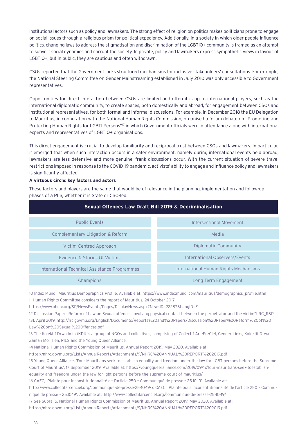institutional actors such as policy and lawmakers. The strong effect of religion on politics makes politicians prone to engage on social issues through a religious prism for political expediency. Additionally, in a society in which older people influence politics, changing laws to address the stigmatisation and discrimination of the LGBTIQ+ community is framed as an attempt to subvert social dynamics and corrupt the society. In private, policy and lawmakers express sympathetic views in favour of LGBTIQ+, but in public, they are cautious and often withdrawn.

CSOs reported that the Government lacks structured mechanisms for inclusive stakeholders' consultations. For example, the National Steering Committee on Gender Mainstreaming established in July 2010 was only accessible to Government representatives.

Opportunities for direct interaction between CSOs are limited and often it is up to international players, such as the international diplomatic community, to create spaces, both domestically and abroad, for engagement between CSOs and institutional representatives, for both formal and informal discussions. For example, in December 2018 the EU Delegation to Mauritius, in cooperation with the National Human Rights Commission, organised a forum debate on "Promoting and Protecting Human Rights for LGBTI Persons"<sup>17</sup> in which Government officials were in attendance along with international experts and representatives of LGBTIQ+ organisations.

This direct engagement is crucial to develop familiarity and reciprocal trust between CSOs and lawmakers. In particular, it emerged that when such interaction occurs in a safer environment, namely during international events held abroad, lawmakers are less defensive and more genuine, frank discussions occur. With the current situation of severe travel restrictions imposed in response to the COVID-19 pandemic, activists' ability to engage and influence policy and lawmakers is significantly affected.

#### **A virtuous circle: key factors and actors**

These factors and players are the same that would be of relevance in the planning, implementation and follow-up phases of a PLS, whether it is State or CSO-led.

| <b>Sexual Offences Law Draft Bill 2019 &amp; Decriminalisation</b> |                                       |  |
|--------------------------------------------------------------------|---------------------------------------|--|
| <b>Public Events</b>                                               | <b>Intersectional Movement</b>        |  |
| Complementary Litigation & Reform                                  | Media                                 |  |
| Victim-Centred Approach                                            | Diplomatic Community                  |  |
| Evidence & Stories Of Victims                                      | International Observers/Events        |  |
| International Technical Assistance Programmes                      | International Human Rights Mechanisms |  |
| Champions                                                          | Long Term Engagement                  |  |

10 Index Mundi, Mauritius Demographics Profile. Available at: https://www.indexmundi.com/mauritius/demographics\_profile.html 11 Human Rights Committee considers the report of Mauritius, 24 October 2017

https://www.ohchr.org/SP/NewsEvents/Pages/DisplayNews.aspx?NewsID=22287&LangID=E

12 Discussion Paper "Reform of Law on Sexual offences involving physical contact between the perpetrator and the victim"LRC\_R&P 131, April 2019, http://lrc.govmu.org/English/Documents/Reports%20and%20Papers/Discussion%20Paper%20Reform%20of%20 Law%20on%20Sexual%20Offences.pdf

13 The Kolektif Drwa Imin (KDI) is a group of NGOs and collectives, comprising of Collectif Arc-En-Ciel, Gender Links, Kolektif Drwa Zanfan Morisien, PILS and the Young Queer Alliance.

14 National Human Rights Commission of Mauritius, Annual Report 2019, May 2020. Available at:

https://nhrc.govmu.org/Lists/AnnualReports/Attachments/9/NHRC%20ANNUAL%20REPORT%202019.pdf

15 Young Queer Alliance, 'Four Mauritians seek to establish equality and freedom under the law for LGBT persons before the Supreme Court of Mauritius', 17 September 2019. Available at: https://youngqueeralliance.com/2019/09/17/four-mauritians-seek-toestablish-

equality-and-freedom-under-the-law-for-lgbt-persons-before-the-supreme-court-of-mauritius/

16 CAEC, 'Plainte pour inconstitutionnalité de l'article 250 – Communiqué de presse – 25.10.19'. Available at:

http://www.collectifarcenciel.org/communique-de-presse-25-10-19/7. CAEC, 'Plainte pour inconstitutionnalité de l'article 250 – Communiqué de presse – 25.10.19'. Available at: http://www.collectifarcenciel.org/communique-de-presse-25-10-19/

17 See Supra, 5. National Human Rights Commission of Mauritius, Annual Report 2019, May 2020. Available at:

https://nhrc.govmu.org/Lists/AnnualReports/Attachments/9/NHRC%20ANNUAL%20REPORT%202019.pdf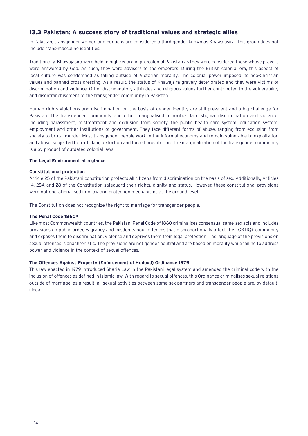## **13.3 Pakistan: A success story of traditional values and strategic allies**

In Pakistan, transgender women and eunuchs are considered a third gender known as Khawajasira. This group does not include trans-masculine identities.

Traditionally, Khawajasira were held in high regard in pre-colonial Pakistan as they were considered those whose prayers were answered by God. As such, they were advisors to the emperors. During the British colonial era, this aspect of local culture was condemned as falling outside of Victorian morality. The colonial power imposed its neo-Christian values and banned cross-dressing. As a result, the status of Khawajsira gravely deteriorated and they were victims of discrimination and violence. Other discriminatory attitudes and religious values further contributed to the vulnerability and disenfranchisement of the transgender community in Pakistan.

Human rights violations and discrimination on the basis of gender identity are still prevalent and a big challenge for Pakistan. The transgender community and other marginalised minorities face stigma, discrimination and violence, including harassment, mistreatment and exclusion from society, the public health care system, education system, employment and other institutions of government. They face different forms of abuse, ranging from exclusion from society to brutal murder. Most transgender people work in the informal economy and remain vulnerable to exploitation and abuse, subjected to trafficking, extortion and forced prostitution. The marginalization of the transgender community is a by-product of outdated colonial laws.

#### **The Legal Environment at a glance**

#### **Constitutional protection**

Article 25 of the Pakistani constitution protects all citizens from discrimination on the basis of sex. Additionally, Articles 14, 25A and 28 of the Constitution safeguard their rights, dignity and status. However, these constitutional provisions were not operationalised into law and protection mechanisms at the ground level.

The Constitution does not recognize the right to marriage for transgender people.

#### **The Penal Code 186018**

Like most Commonwealth countries, the Pakistani Penal Code of 1860 criminalises consensual same-sex acts and includes provisions on public order, vagrancy and misdemeanour offences that disproportionally affect the LGBTIQ+ community and exposes them to discrimination, violence and deprives them from legal protection. The language of the provisions on sexual offences is anachronistic. The provisions are not gender neutral and are based on morality while failing to address power and violence in the context of sexual offences.

#### **The Offences Against Property (Enforcement of Hudood) Ordinance 1979**

This law enacted in 1979 introduced Sharia Law in the Pakistani legal system and amended the criminal code with the inclusion of offences as defined in Islamic law. With regard to sexual offences, this Ordinance criminalises sexual relations outside of marriage; as a result, all sexual activities between same-sex partners and transgender people are, by default, illegal.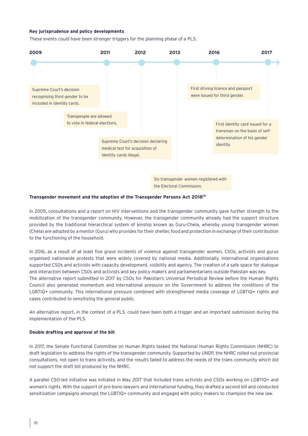#### **Key jurisprudence and policy developments**

These events could have been stronger triggers for the planning phase of a PLS.



the Electoral Commission.

#### **Transgender movement and the adoption of the Transgender Persons Act 201819**

In 2005, consultations and a report on HIV interventions and the transgender community gave further strength to the mobilization of the transgender community. However, the transgender community already had the support structure provided by the traditional hierarchical system of kinship known as Guru-Chela, whereby young transgender women (Chela) are adopted by a mentor (Guru) who provides for their shelter, food and protection in exchange of their contribution to the functioning of the household.

In 2016, as a result of at least five grave incidents of violence against transgender women, CSOs, activists and gurus organised nationwide protests that were widely covered by national media. Additionally, international organisations supported CSOs and activists with capacity development, visibility and agency. The creation of a safe space for dialogue and interaction between CSOs and activists and key policy makers and parliamentarians outside Pakistan was key. The alternative report submitted in 2017 by CSOs for Pakistan's Universal Periodical Review before the Human Rights Council also generated momentum and international pressure on the Government to address the conditions of the LGBTIQ+ community. This international pressure combined with strengthened media coverage of LGBTIQ+ rights and cases contributed to sensitizing the general public.

An alternative report, in the context of a PLS, could have been both a trigger and an important submission during the implementation of the PLS.

#### **Double drafting and approval of the bill**

In 2017, the Senate Functional Committee on Human Rights tasked the National Human Rights Commission (NHRC) to draft legislation to address the rights of the transgender community. Supported by UNDP, the NHRC rolled out provincial consultations, not open to trans activists, and the results failed to address the needs of the trans community which did not support the draft bill produced by the NHRC.

A parallel CSO-led initiative was initiated in May 2017 that included trans activists and CSOs working on LGBTIQ+ and women's rights. With the support of pro-bono lawyers and international funding, they drafted a second bill and conducted sensitization campaigns amongst the LGBTIQ+ community and engaged with policy makers to champion the new law.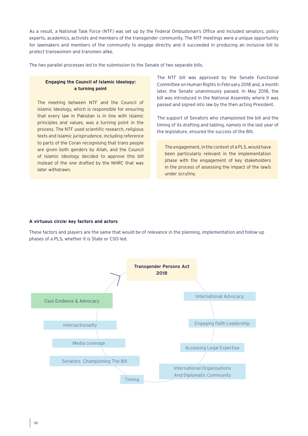As a result, a National Task Force (NTF) was set up by the Federal Ombudsman's Office and included senators, policy experts, academics, activists and members of the transgender community. The NTF meetings were a unique opportunity for lawmakers and members of the community to engage directly and it succeeded in producing an inclusive bill to protect transwomen and transmen alike.

The two parallel processes led to the submission to the Senate of two separate bills.

## **Engaging the Council of Islamic Ideology: a turning point**

The meeting between NTF and the Council of Islamic Ideology, which is responsible for ensuring that every law in Pakistan is in line with Islamic principles and values, was a turning point in the process. The NTF used scientific research, religious texts and Islamic jurisprudence, including reference to parts of the Coran recognising that trans people are given both genders by Allah, and the Council of Islamic Ideology decided to approve this bill instead of the one drafted by the NHRC that was later withdrawn.

The NTF bill was approved by the Senate Functional Committee on Human Rights in February 2018 and, a month later, the Senate unanimously passed. In May 2018, the bill was introduced in the National Assembly where it was passed and signed into law by the then acting President.

The support of Senators who championed the bill and the timing of its drafting and tabling, namely in the last year of the legislature, ensured the success of the Bill.

The engagement, in the context of a PLS, would have been particularly relevant in the implementation phase with the engagement of key stakeholders in the process of assessing the impact of the law/s under scrutiny.

#### **A virtuous circle: key factors and actors**

These factors and players are the same that would be of relevance in the planning, implementation and follow-up phases of a PLS, whether it is State or CSO-led.

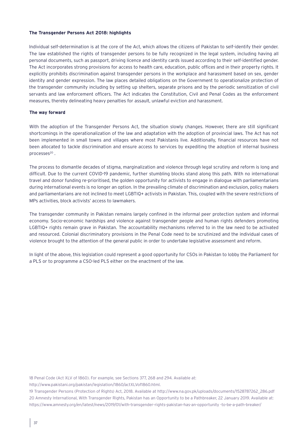#### **The Transgender Persons Act 2018: highlights**

Individual self-determination is at the core of the Act, which allows the citizens of Pakistan to self-identify their gender. The law established the rights of transgender persons to be fully recognized in the legal system, including having all personal documents, such as passport, driving licence and identity cards issued according to their self-identified gender. The Act incorporates strong provisions for access to health care, education, public offices and in their property rights. It explicitly prohibits discrimination against transgender persons in the workplace and harassment based on sex, gender identity and gender expression. The law places detailed obligations on the Government to operationalize protection of the transgender community including by setting up shelters, separate prisons and by the periodic sensitization of civil servants and law enforcement officers. The Act indicates the Constitution, Civil and Penal Codes as the enforcement measures, thereby delineating heavy penalties for assault, unlawful eviction and harassment.

#### **The way forward**

With the adoption of the Transgender Persons Act, the situation slowly changes. However, there are still significant shortcomings in the operationalization of the law and adaptation with the adoption of provincial laws. The Act has not been implemented in small towns and villages where most Pakistanis live. Additionally, financial resources have not been allocated to tackle discrimination and ensure access to services by expediting the adoption of internal business processes<sup>20</sup>.

The process to dismantle decades of stigma, marginalization and violence through legal scrutiny and reform is long and difficult. Due to the current COVID-19 pandemic, further stumbling blocks stand along this path. With no international travel and donor funding re-prioritised, the golden opportunity for activists to engage in dialogue with parliamentarians during international events is no longer an option. In the prevailing climate of discrimination and exclusion, policy makers and parliamentarians are not inclined to meet LGBTIQ+ activists in Pakistan. This, coupled with the severe restrictions of MPs activities, block activists' access to lawmakers.

The transgender community in Pakistan remains largely confined in the informal peer protection system and informal economy. Socio-economic hardships and violence against transgender people and human rights defenders promoting LGBTIQ+ rights remain grave in Pakistan. The accountability mechanisms referred to in the law need to be activated and resourced. Colonial discriminatory provisions in the Penal Code need to be scrutinized and the individual cases of violence brought to the attention of the general public in order to undertake legislative assessment and reform.

In light of the above, this legislation could represent a good opportunity for CSOs in Pakistan to lobby the Parliament for a PLS or to programme a CSO-led PLS either on the enactment of the law.

18 Penal Code (Act XLV of 1860). For example, see Sections 377, 268 and 294. Available at:

http://www.pakistani.org/pakistan/legislation/1860/actXLVof1860.html.

19 Transgender Persons (Protection of Rights) Act, 2018. Available at http://www.na.gov.pk/uploads/documents/1528787262\_286.pdf 20 Amnesty International, With Transgender Rights, Pakistan has an Opportunity to be a Pathbreaker, 22 January 2019. Available at: https://www.amnesty.org/en/latest/news/2019/01/with-transgender-rights-pakistan-has-an-opportunity -to-be-a-path-breaker/